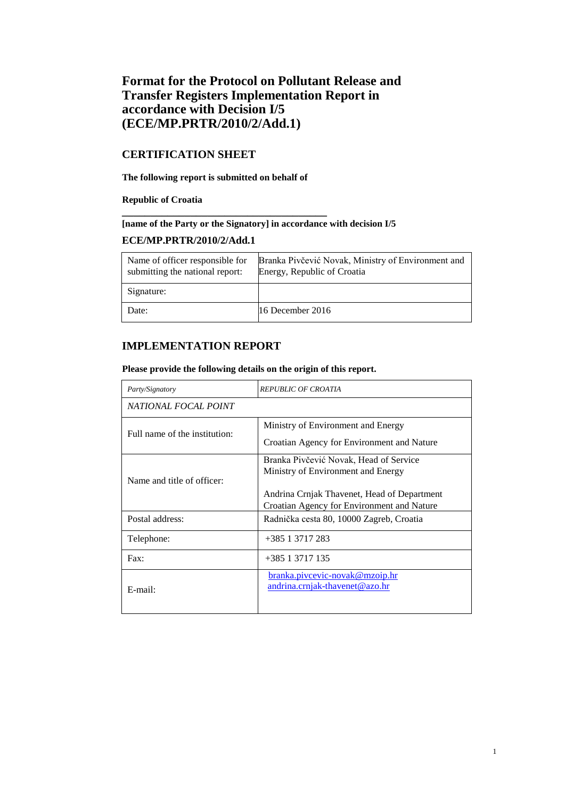# **Format for the Protocol on Pollutant Release and Transfer Registers Implementation Report in accordance with Decision I/5 (ECE/MP.PRTR/2010/2/Add.1)**

# **CERTIFICATION SHEET**

**The following report is submitted on behalf of** 

**\_\_\_\_\_\_\_\_\_\_\_\_\_\_\_\_\_\_\_\_\_\_\_\_\_\_\_\_\_\_\_\_\_\_\_\_** 

### **Republic of Croatia**

# **[name of the Party or the Signatory] in accordance with decision I/5**

## **ECE/MP.PRTR/2010/2/Add.1**

| Name of officer responsible for<br>submitting the national report: | Branka Pivčević Novak, Ministry of Environment and<br>Energy, Republic of Croatia |
|--------------------------------------------------------------------|-----------------------------------------------------------------------------------|
| Signature:                                                         |                                                                                   |
| Date:                                                              | 16 December $2016$                                                                |

# **IMPLEMENTATION REPORT**

## **Please provide the following details on the origin of this report.**

| Party/Signatory               | REPUBLIC OF CROATIA                                                                                                         |  |  |  |  |
|-------------------------------|-----------------------------------------------------------------------------------------------------------------------------|--|--|--|--|
| NATIONAL FOCAL POINT          |                                                                                                                             |  |  |  |  |
| Full name of the institution: | Ministry of Environment and Energy<br>Croatian Agency for Environment and Nature                                            |  |  |  |  |
| Name and title of officer:    | Branka Pivčević Novak, Head of Service<br>Ministry of Environment and Energy<br>Andrina Crnjak Thavenet, Head of Department |  |  |  |  |
| Postal address:               | Croatian Agency for Environment and Nature<br>Radnička cesta 80, 10000 Zagreb, Croatia                                      |  |  |  |  |
| Telephone:                    | +385 1 3717 283                                                                                                             |  |  |  |  |
| $\text{Fax}:$                 | +385 1 3717 135                                                                                                             |  |  |  |  |
| $E$ -mail:                    | branka.pivcevic-novak@mzoip.hr<br>andrina.crnjak-thavenet@azo.hr                                                            |  |  |  |  |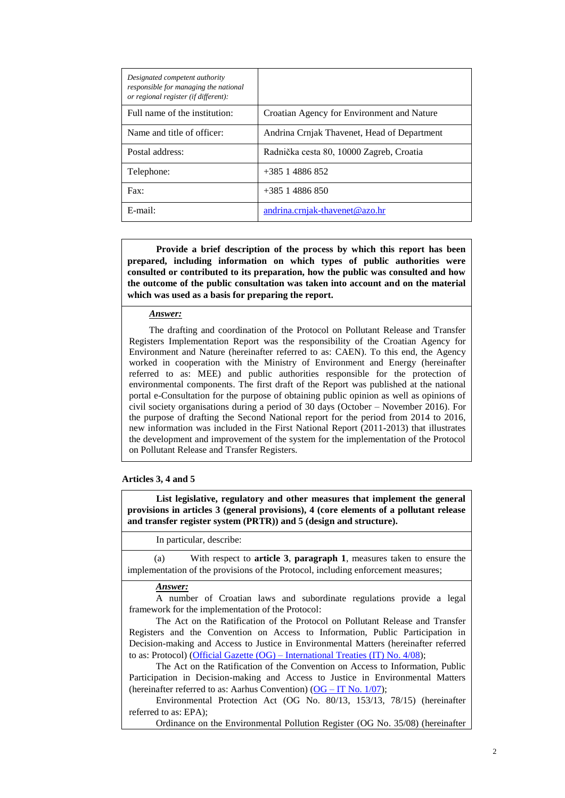| Designated competent authority<br>responsible for managing the national<br>or regional register (if different): |                                             |
|-----------------------------------------------------------------------------------------------------------------|---------------------------------------------|
| Full name of the institution:                                                                                   | Croatian Agency for Environment and Nature  |
| Name and title of officer:                                                                                      | Andrina Crnjak Thavenet, Head of Department |
| Postal address:                                                                                                 | Radnička cesta 80, 10000 Zagreb, Croatia    |
| Telephone:                                                                                                      | $+385$ 1 4886 852                           |
| $\text{Fax}:$                                                                                                   | $+385$ 1 4886 850                           |
| $E$ -mail:                                                                                                      | andrina.crnjak-thavenet@azo.hr              |

**Provide a brief description of the process by which this report has been prepared, including information on which types of public authorities were consulted or contributed to its preparation, how the public was consulted and how the outcome of the public consultation was taken into account and on the material which was used as a basis for preparing the report.**

#### *Answer:*

The drafting and coordination of the Protocol on Pollutant Release and Transfer Registers Implementation Report was the responsibility of the Croatian Agency for Environment and Nature (hereinafter referred to as: CAEN). To this end, the Agency worked in cooperation with the Ministry of Environment and Energy (hereinafter referred to as: MEE) and public authorities responsible for the protection of environmental components. The first draft of the Report was published at the national portal e-Consultation for the purpose of obtaining public opinion as well as opinions of civil society organisations during a period of 30 days (October – November 2016). For the purpose of drafting the Second National report for the period from 2014 to 2016, new information was included in the First National Report (2011-2013) that illustrates the development and improvement of the system for the implementation of the Protocol on Pollutant Release and Transfer Registers.

#### **Articles 3, 4 and 5**

**List legislative, regulatory and other measures that implement the general provisions in articles 3 (general provisions), 4 (core elements of a pollutant release and transfer register system (PRTR)) and 5 (design and structure).**

#### In particular, describe:

(a) With respect to **article 3**, **paragraph 1**, measures taken to ensure the implementation of the provisions of the Protocol, including enforcement measures;

## *Answer:*

A number of Croatian laws and subordinate regulations provide a legal framework for the implementation of the Protocol:

The Act on the Ratification of the Protocol on Pollutant Release and Transfer Registers and the Convention on Access to Information, Public Participation in Decision-making and Access to Justice in Environmental Matters (hereinafter referred to as: Protocol) (Official Gazette (OG) – [International Treaties \(IT\)](http://narodne-novine.nn.hr/clanci/medunarodni/2008_06_4_69.html) No. 4/08);

The Act on the Ratification of the Convention on Access to Information, Public Participation in Decision-making and Access to Justice in Environmental Matters (hereinafter referred to as: Aarhus Convention)  $(OG - IT No. 1/07)$  $(OG - IT No. 1/07)$ ;

Environmental Protection Act (OG No. 80/13, 153/13, 78/15) (hereinafter referred to as: EPA);

Ordinance on the Environmental Pollution Register (OG No. 35/08) (hereinafter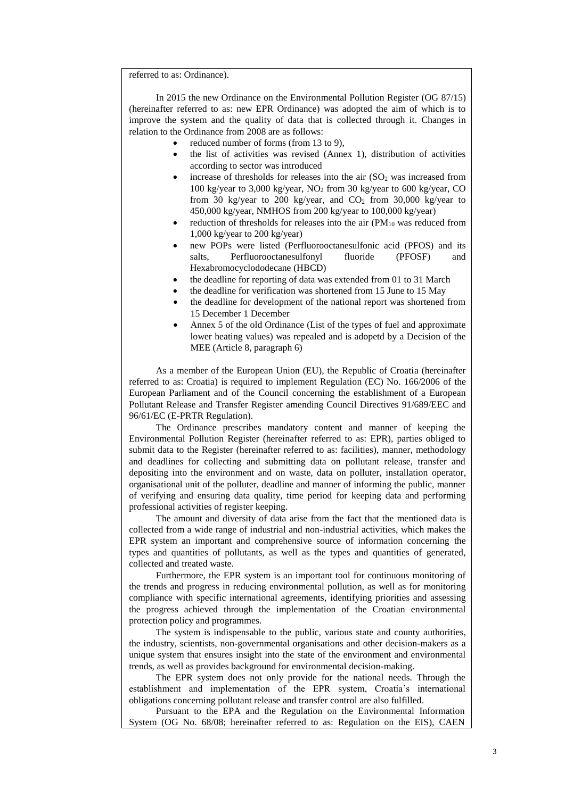referred to as: Ordinance).

In 2015 the new Ordinance on the Environmental Pollution Register (OG 87/15) (hereinafter referred to as: new EPR Ordinance) was adopted the aim of which is to improve the system and the quality of data that is collected through it. Changes in relation to the Ordinance from 2008 are as follows:

- reduced number of forms (from 13 to 9),
- the list of activities was revised (Annex 1), distribution of activities according to sector was introduced
- increase of thresholds for releases into the air  $(SO<sub>2</sub>$  was increased from 100 kg/year to 3,000 kg/year,  $NO<sub>2</sub>$  from 30 kg/year to 600 kg/year, CO from 30 kg/year to 200 kg/year, and  $CO<sub>2</sub>$  from 30,000 kg/year to 450,000 kg/year, NMHOS from 200 kg/year to 100,000 kg/year)
- reduction of thresholds for releases into the air  $(PM_{10}$  was reduced from 1,000 kg/year to 200 kg/year)
- new POPs were listed (Perfluorooctanesulfonic acid (PFOS) and its salts, Perfluorooctanesulfonyl fluoride (PFOSF) and Hexabromocyclododecane (HBCD)
- the deadline for reporting of data was extended from 01 to 31 March
- the deadline for verification was shortened from 15 June to 15 May
- the deadline for development of the national report was shortened from 15 December 1 December
- Annex 5 of the old Ordinance (List of the types of fuel and approximate lower heating values) was repealed and is adopetd by a Decision of the MEE (Article 8, paragraph 6)

As a member of the European Union (EU), the Republic of Croatia (hereinafter referred to as: Croatia) is required to implement Regulation (EC) No. 166/2006 of the European Parliament and of the Council concerning the establishment of a European Pollutant Release and Transfer Register amending Council Directives 91/689/EEC and 96/61/EC (E-PRTR Regulation).

The Ordinance prescribes mandatory content and manner of keeping the Environmental Pollution Register (hereinafter referred to as: EPR), parties obliged to submit data to the Register (hereinafter referred to as: facilities), manner, methodology and deadlines for collecting and submitting data on pollutant release, transfer and depositing into the environment and on waste, data on polluter, installation operator, organisational unit of the polluter, deadline and manner of informing the public, manner of verifying and ensuring data quality, time period for keeping data and performing professional activities of register keeping.

The amount and diversity of data arise from the fact that the mentioned data is collected from a wide range of industrial and non-industrial activities, which makes the EPR system an important and comprehensive source of information concerning the types and quantities of pollutants, as well as the types and quantities of generated, collected and treated waste.

Furthermore, the EPR system is an important tool for continuous monitoring of the trends and progress in reducing environmental pollution, as well as for monitoring compliance with specific international agreements, identifying priorities and assessing the progress achieved through the implementation of the Croatian environmental protection policy and programmes.

The system is indispensable to the public, various state and county authorities, the industry, scientists, non-governmental organisations and other decision-makers as a unique system that ensures insight into the state of the environment and environmental trends, as well as provides background for environmental decision-making.

The EPR system does not only provide for the national needs. Through the establishment and implementation of the EPR system, Croatia's international obligations concerning pollutant release and transfer control are also fulfilled.

Pursuant to the EPA and the Regulation on the Environmental Information System (OG No. 68/08; hereinafter referred to as: Regulation on the EIS), CAEN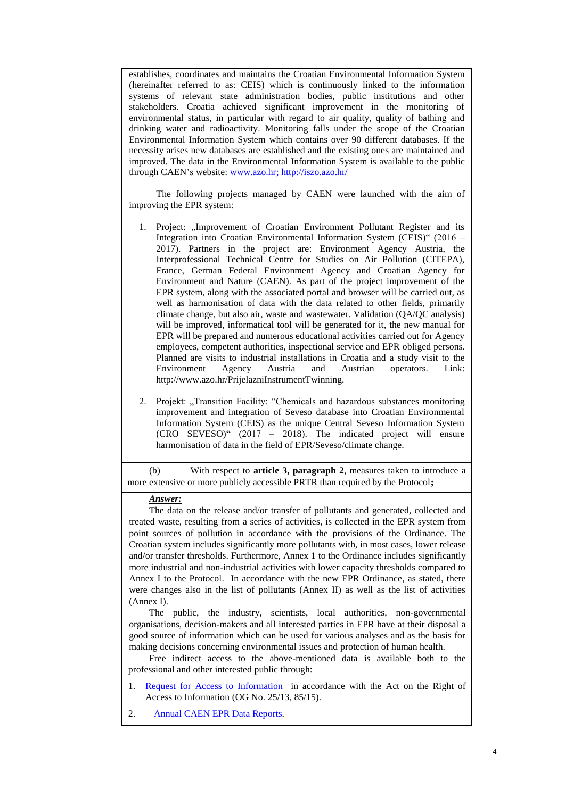establishes, coordinates and maintains the Croatian Environmental Information System (hereinafter referred to as: CEIS) which is continuously linked to the information systems of relevant state administration bodies, public institutions and other stakeholders. Croatia achieved significant improvement in the monitoring of environmental status, in particular with regard to air quality, quality of bathing and drinking water and radioactivity. Monitoring falls under the scope of the Croatian Environmental Information System which contains over 90 different databases. If the necessity arises new databases are established and the existing ones are maintained and improved. The data in the Environmental Information System is available to the public through CAEN's website: [www.azo.hr;](http://www.azo.hr/)<http://iszo.azo.hr/>

The following projects managed by CAEN were launched with the aim of improving the EPR system:

- 1. Project: "Improvement of Croatian Environment Pollutant Register and its Integration into Croatian Environmental Information System (CEIS)" (2016 – 2017). Partners in the project are: Environment Agency Austria, the Interprofessional Technical Centre for Studies on Air Pollution (CITEPA), France, German Federal Environment Agency and Croatian Agency for Environment and Nature (CAEN). As part of the project improvement of the EPR system, along with the associated portal and browser will be carried out, as well as harmonisation of data with the data related to other fields, primarily climate change, but also air, waste and wastewater. Validation (QA/QC analysis) will be improved, informatical tool will be generated for it, the new manual for EPR will be prepared and numerous educational activities carried out for Agency employees, competent authorities, inspectional service and EPR obliged persons. Planned are visits to industrial installations in Croatia and a study visit to the Environment Agency Austria and Austrian operators. Link: http://www.azo.hr/PrijelazniInstrumentTwinning.
- 2. Projekt: "Transition Facility: "Chemicals and hazardous substances monitoring improvement and integration of Seveso database into Croatian Environmental Information System (CEIS) as the unique Central Seveso Information System (CRO SEVESO)" (2017 – 2018). The indicated project will ensure harmonisation of data in the field of EPR/Seveso/climate change.

(b) With respect to **article 3, paragraph 2**, measures taken to introduce a more extensive or more publicly accessible PRTR than required by the Protocol**;**

#### *Answer:*

The data on the release and/or transfer of pollutants and generated, collected and treated waste, resulting from a series of activities, is collected in the EPR system from point sources of pollution in accordance with the provisions of the Ordinance. The Croatian system includes significantly more pollutants with, in most cases, lower release and/or transfer thresholds. Furthermore, Annex 1 to the Ordinance includes significantly more industrial and non-industrial activities with lower capacity thresholds compared to Annex I to the Protocol. In accordance with the new EPR Ordinance, as stated, there were changes also in the list of pollutants (Annex II) as well as the list of activities (Annex I).

The public, the industry, scientists, local authorities, non-governmental organisations, decision-makers and all interested parties in EPR have at their disposal a good source of information which can be used for various analyses and as the basis for making decisions concerning environmental issues and protection of human health.

Free indirect access to the above-mentioned data is available both to the professional and other interested public through:

- 1. [Request for Access](http://www.azo.hr/fgs.axd?id=4455) to Information in accordance with the Act on the Right of Access to Information (OG No. 25/13, 85/15).
- 2. Annual CAEN [EPR Data Reports.](http://www.azo.hr/IzvjescaROO01.)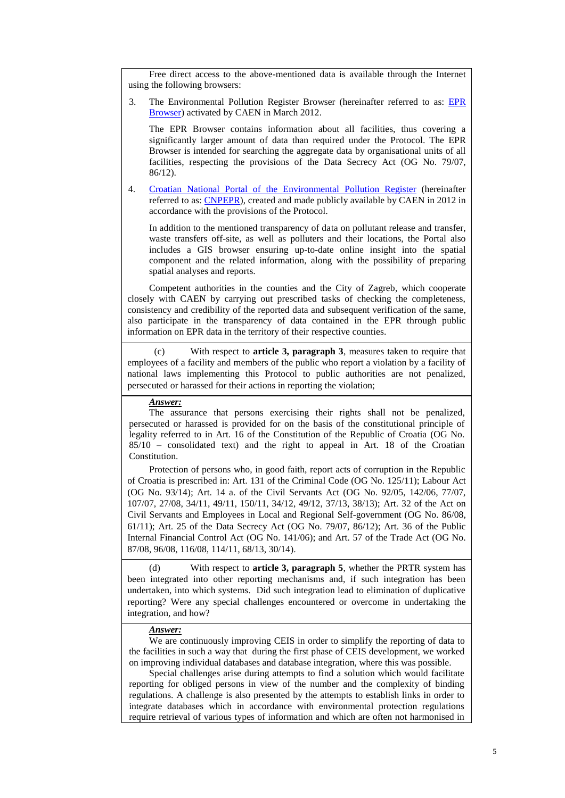Free direct access to the above-mentioned data is available through the Internet using the following browsers:

3. The Environmental Pollution Register Browser (hereinafter referred to as: [EPR](http://roo-preglednik.azo.hr/)  [Browser\)](http://roo-preglednik.azo.hr/) activated by CAEN in March 2012.

The EPR Browser contains information about all facilities, thus covering a significantly larger amount of data than required under the Protocol. The EPR Browser is intended for searching the aggregate data by organisational units of all facilities, respecting the provisions of the Data Secrecy Act (OG No. 79/07, 86/12).

4. [Croatian National Portal of the Environmental](http://hnproo.azo.hr/Home.aspx) Pollution Register (hereinafter referred to as: [CNPEPR\)](http://hnproo.azo.hr/Home.aspx), created and made publicly available by CAEN in 2012 in accordance with the provisions of the Protocol.

In addition to the mentioned transparency of data on pollutant release and transfer, waste transfers off-site, as well as polluters and their locations, the Portal also includes a GIS browser ensuring up-to-date online insight into the spatial component and the related information, along with the possibility of preparing spatial analyses and reports.

Competent authorities in the counties and the City of Zagreb, which cooperate closely with CAEN by carrying out prescribed tasks of checking the completeness, consistency and credibility of the reported data and subsequent verification of the same, also participate in the transparency of data contained in the EPR through public information on EPR data in the territory of their respective counties.

(c) With respect to **article 3, paragraph 3**, measures taken to require that employees of a facility and members of the public who report a violation by a facility of national laws implementing this Protocol to public authorities are not penalized, persecuted or harassed for their actions in reporting the violation;

*Answer:*

The assurance that persons exercising their rights shall not be penalized, persecuted or harassed is provided for on the basis of the constitutional principle of legality referred to in Art. 16 of the Constitution of the Republic of Croatia (OG No. 85/10 – consolidated text) and the right to appeal in Art. 18 of the Croatian Constitution.

Protection of persons who, in good faith, report acts of corruption in the Republic of Croatia is prescribed in: Art. 131 of the Criminal Code (OG No. 125/11); Labour Act (OG No. 93/14); Art. 14 a. of the Civil Servants Act (OG No. 92/05, 142/06, 77/07, 107/07, 27/08, 34/11, 49/11, 150/11, 34/12, 49/12, 37/13, 38/13); Art. 32 of the Act on Civil Servants and Employees in Local and Regional Self-government (OG No. 86/08, 61/11); Art. 25 of the Data Secrecy Act (OG No. 79/07, 86/12); Art. 36 of the Public Internal Financial Control Act (OG No. 141/06); and Art. 57 of the Trade Act (OG No. 87/08, 96/08, 116/08, 114/11, 68/13, 30/14).

(d) With respect to **article 3, paragraph 5**, whether the PRTR system has been integrated into other reporting mechanisms and, if such integration has been undertaken, into which systems. Did such integration lead to elimination of duplicative reporting? Were any special challenges encountered or overcome in undertaking the integration, and how?

### *Answer:*

We are continuously improving CEIS in order to simplify the reporting of data to the facilities in such a way that during the first phase of CEIS development, we worked on improving individual databases and database integration, where this was possible.

Special challenges arise during attempts to find a solution which would facilitate reporting for obliged persons in view of the number and the complexity of binding regulations. A challenge is also presented by the attempts to establish links in order to integrate databases which in accordance with environmental protection regulations require retrieval of various types of information and which are often not harmonised in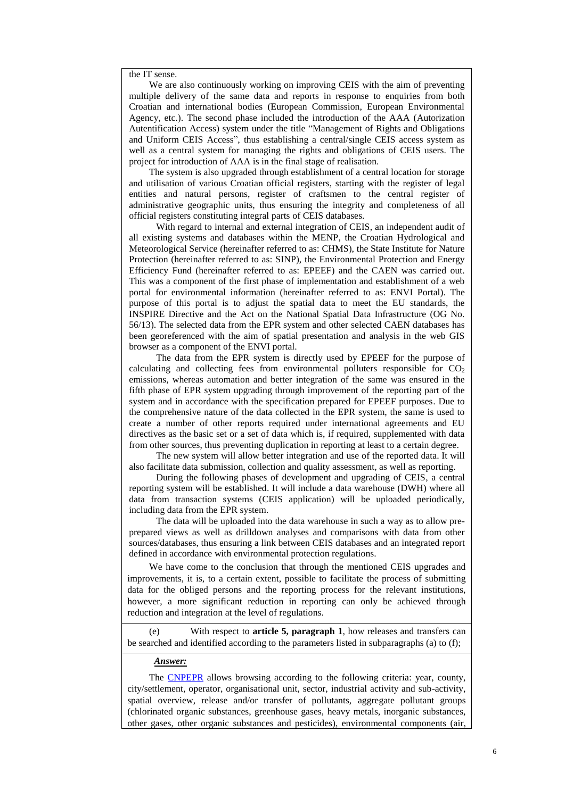the IT sense.

We are also continuously working on improving CEIS with the aim of preventing multiple delivery of the same data and reports in response to enquiries from both Croatian and international bodies (European Commission, European Environmental Agency, etc.). The second phase included the introduction of the AAA (Autorization Autentification Access) system under the title "Management of Rights and Obligations and Uniform CEIS Access", thus establishing a central/single CEIS access system as well as a central system for managing the rights and obligations of CEIS users. The project for introduction of AAA is in the final stage of realisation.

The system is also upgraded through establishment of a central location for storage and utilisation of various Croatian official registers, starting with the register of legal entities and natural persons, register of craftsmen to the central register of administrative geographic units, thus ensuring the integrity and completeness of all official registers constituting integral parts of CEIS databases.

With regard to internal and external integration of CEIS, an independent audit of all existing systems and databases within the MENP, the Croatian Hydrological and Meteorological Service (hereinafter referred to as: CHMS), the State Institute for Nature Protection (hereinafter referred to as: SINP), the Environmental Protection and Energy Efficiency Fund (hereinafter referred to as: EPEEF) and the CAEN was carried out. This was a component of the first phase of implementation and establishment of a web portal for environmental information (hereinafter referred to as: ENVI Portal). The purpose of this portal is to adjust the spatial data to meet the EU standards, the INSPIRE Directive and the Act on the National Spatial Data Infrastructure (OG No. 56/13). The selected data from the EPR system and other selected CAEN databases has been georeferenced with the aim of spatial presentation and analysis in the web GIS browser as a component of the ENVI portal.

The data from the EPR system is directly used by EPEEF for the purpose of calculating and collecting fees from environmental polluters responsible for  $CO<sub>2</sub>$ emissions, whereas automation and better integration of the same was ensured in the fifth phase of EPR system upgrading through improvement of the reporting part of the system and in accordance with the specification prepared for EPEEF purposes. Due to the comprehensive nature of the data collected in the EPR system, the same is used to create a number of other reports required under international agreements and EU directives as the basic set or a set of data which is, if required, supplemented with data from other sources, thus preventing duplication in reporting at least to a certain degree.

The new system will allow better integration and use of the reported data. It will also facilitate data submission, collection and quality assessment, as well as reporting.

During the following phases of development and upgrading of CEIS, a central reporting system will be established. It will include a data warehouse (DWH) where all data from transaction systems (CEIS application) will be uploaded periodically, including data from the EPR system.

The data will be uploaded into the data warehouse in such a way as to allow preprepared views as well as drilldown analyses and comparisons with data from other sources/databases, thus ensuring a link between CEIS databases and an integrated report defined in accordance with environmental protection regulations.

We have come to the conclusion that through the mentioned CEIS upgrades and improvements, it is, to a certain extent, possible to facilitate the process of submitting data for the obliged persons and the reporting process for the relevant institutions, however, a more significant reduction in reporting can only be achieved through reduction and integration at the level of regulations.

(e) With respect to **article 5, paragraph 1**, how releases and transfers can be searched and identified according to the parameters listed in subparagraphs (a) to (f);

#### *Answer:*

The [CNPEPR](http://www.azo.hr/HrvatskiNacionalniPortalRegistra) allows browsing according to the following criteria: year, county, city/settlement, operator, organisational unit, sector, industrial activity and sub-activity, spatial overview, release and/or transfer of pollutants, aggregate pollutant groups (chlorinated organic substances, greenhouse gases, heavy metals, inorganic substances, other gases, other organic substances and pesticides), environmental components (air,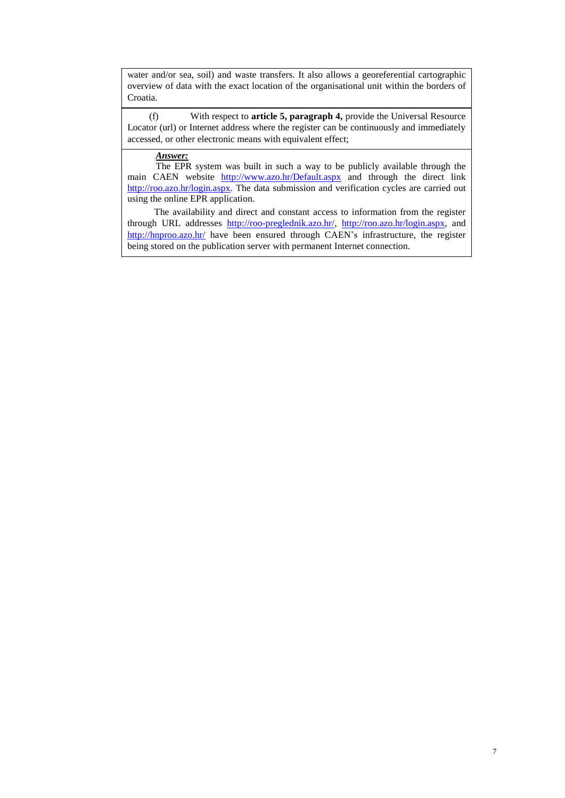water and/or sea, soil) and waste transfers. It also allows a georeferential cartographic overview of data with the exact location of the organisational unit within the borders of Croatia.

(f) With respect to **article 5, paragraph 4,** provide the Universal Resource Locator (url) or Internet address where the register can be continuously and immediately accessed, or other electronic means with equivalent effect;

# *Answer:*

The EPR system was built in such a way to be publicly available through the main CAEN website <http://www.azo.hr/Default.aspx> and through the direct link [http://roo.azo.hr/login.aspx.](http://roo.azo.hr/login.aspx) The data submission and verification cycles are carried out using the online EPR application.

The availability and direct and constant access to information from the register through URL addresses [http://roo-preglednik.azo.hr/,](http://roo-preglednik.azo.hr/) [http://roo.azo.hr/login.aspx,](http://roo.azo.hr/login.aspx) and <http://hnproo.azo.hr/> have been ensured through CAEN's infrastructure, the register being stored on the publication server with permanent Internet connection.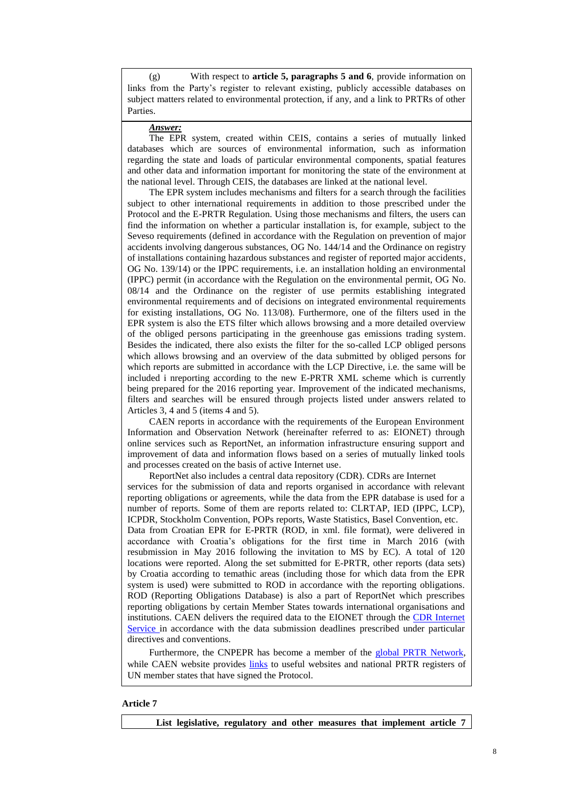(g) With respect to **article 5, paragraphs 5 and 6**, provide information on links from the Party's register to relevant existing, publicly accessible databases on subject matters related to environmental protection, if any, and a link to PRTRs of other Parties.

## *Answer:*

The EPR system, created within CEIS, contains a series of mutually linked databases which are sources of environmental information, such as information regarding the state and loads of particular environmental components, spatial features and other data and information important for monitoring the state of the environment at the national level. Through CEIS, the databases are linked at the national level.

The EPR system includes mechanisms and filters for a search through the facilities subject to other international requirements in addition to those prescribed under the Protocol and the E-PRTR Regulation. Using those mechanisms and filters, the users can find the information on whether a particular installation is, for example, subject to the Seveso requirements (defined in accordance with the Regulation on prevention of major accidents involving dangerous substances, OG No. 144/14 and the Ordinance on registry of installations containing hazardous substances and register of reported major accidents, OG No. 139/14) or the IPPC requirements, i.e. an installation holding an environmental (IPPC) permit (in accordance with the Regulation on the environmental permit, OG No. 08/14 and the Ordinance on the register of use permits establishing integrated environmental requirements and of decisions on integrated environmental requirements for existing installations, OG No. 113/08). Furthermore, one of the filters used in the EPR system is also the ETS filter which allows browsing and a more detailed overview of the obliged persons participating in the greenhouse gas emissions trading system. Besides the indicated, there also exists the filter for the so-called LCP obliged persons which allows browsing and an overview of the data submitted by obliged persons for which reports are submitted in accordance with the LCP Directive, i.e. the same will be included i nreporting according to the new E-PRTR XML scheme which is currently being prepared for the 2016 reporting year. Improvement of the indicated mechanisms, filters and searches will be ensured through projects listed under answers related to Articles 3, 4 and 5 (items 4 and 5).

CAEN reports in accordance with the requirements of the European Environment Information and Observation Network (hereinafter referred to as: EIONET) through online services such as ReportNet, an information infrastructure ensuring support and improvement of data and information flows based on a series of mutually linked tools and processes created on the basis of active Internet use.

ReportNet also includes a central data repository (CDR). CDRs are Internet services for the submission of data and reports organised in accordance with relevant reporting obligations or agreements, while the data from the EPR database is used for a number of reports. Some of them are reports related to: CLRTAP, IED (IPPC, LCP), ICPDR, Stockholm Convention, POPs reports, Waste Statistics, Basel Convention, etc. Data from Croatian EPR for E-PRTR (ROD, in xml. file format), were delivered in accordance with Croatia's obligations for the first time in March 2016 (with resubmission in May 2016 following the invitation to MS by EC). A total of 120 locations were reported. Along the set submitted for E-PRTR, other reports (data sets) by Croatia according to temathic areas (including those for which data from the EPR system is used) were submitted to ROD in accordance with the reporting obligations. ROD (Reporting Obligations Database) is also a part of ReportNet which prescribes reporting obligations by certain Member States towards international organisations and institutions. CAEN delivers the required data to the EIONET through the [CDR Internet](http://cdr.eionet.europa.eu/)  [Service](http://cdr.eionet.europa.eu/) in accordance with the data submission deadlines prescribed under particular directives and conventions.

Furthermore, the CNPEPR has become a member of the [global PRTR Network,](http://www.prtr.net/en/links/) while CAEN website provides [links](http://hnproo.azo.hr/pgLinks.aspx) to useful websites and national PRTR registers of UN member states that have signed the Protocol.

## **Article 7**

**List legislative, regulatory and other measures that implement article 7**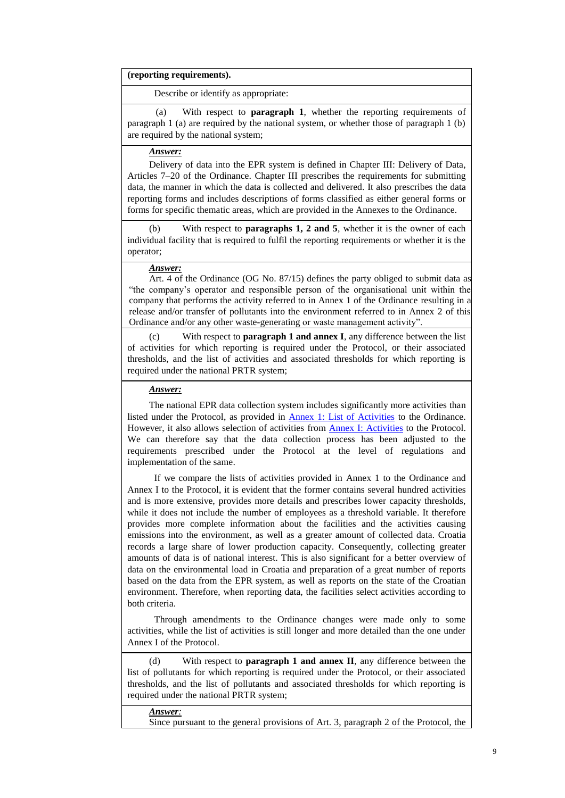### **(reporting requirements).**

Describe or identify as appropriate:

(a) With respect to **paragraph 1**, whether the reporting requirements of paragraph 1 (a) are required by the national system, or whether those of paragraph 1 (b) are required by the national system;

# *Answer:*

Delivery of data into the EPR system is defined in Chapter III: Delivery of Data, Articles 7–20 of the Ordinance. Chapter III prescribes the requirements for submitting data, the manner in which the data is collected and delivered. It also prescribes the data reporting forms and includes descriptions of forms classified as either general forms or forms for specific thematic areas, which are provided in the Annexes to the Ordinance.

With respect to **paragraphs 1, 2 and 5**, whether it is the owner of each individual facility that is required to fulfil the reporting requirements or whether it is the operator;

## *Answer:*

Art. 4 of the Ordinance (OG No. 87/15) defines the party obliged to submit data as "the company's operator and responsible person of the organisational unit within the company that performs the activity referred to in Annex 1 of the Ordinance resulting in a release and/or transfer of pollutants into the environment referred to in Annex 2 of this Ordinance and/or any other waste-generating or waste management activity".

(c) With respect to **paragraph 1 and annex I**, any difference between the list of activities for which reporting is required under the Protocol, or their associated thresholds, and the list of activities and associated thresholds for which reporting is required under the national PRTR system;

## *Answer:*

The national EPR data collection system includes significantly more activities than listed under the Protocol, as provided in Annex [1: List of Activities](http://narodne-novine.nn.hr/clanci/sluzbeni/2008_03_35_1214.html) to the Ordinance. However, it also allows selection of activities from [Annex I: Activities](http://narodne-novine.nn.hr/clanci/medunarodni/2008_06_4_69.html) to the Protocol. We can therefore say that the data collection process has been adjusted to the requirements prescribed under the Protocol at the level of regulations and implementation of the same.

If we compare the lists of activities provided in Annex 1 to the Ordinance and Annex I to the Protocol, it is evident that the former contains several hundred activities and is more extensive, provides more details and prescribes lower capacity thresholds, while it does not include the number of employees as a threshold variable. It therefore provides more complete information about the facilities and the activities causing emissions into the environment, as well as a greater amount of collected data. Croatia records a large share of lower production capacity. Consequently, collecting greater amounts of data is of national interest. This is also significant for a better overview of data on the environmental load in Croatia and preparation of a great number of reports based on the data from the EPR system, as well as reports on the state of the Croatian environment. Therefore, when reporting data, the facilities select activities according to both criteria.

Through amendments to the Ordinance changes were made only to some activities, while the list of activities is still longer and more detailed than the one under Annex I of the Protocol.

(d) With respect to **paragraph 1 and annex II**, any difference between the list of pollutants for which reporting is required under the Protocol, or their associated thresholds, and the list of pollutants and associated thresholds for which reporting is required under the national PRTR system;

#### *Answer:*

Since pursuant to the general provisions of Art. 3, paragraph 2 of the Protocol, the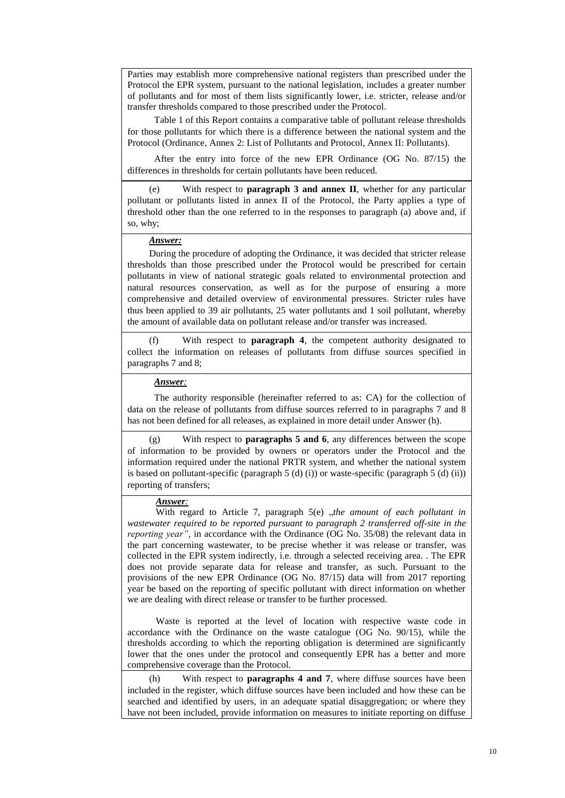Parties may establish more comprehensive national registers than prescribed under the Protocol the EPR system, pursuant to the national legislation, includes a greater number of pollutants and for most of them lists significantly lower, i.e. stricter, release and/or transfer thresholds compared to those prescribed under the Protocol.

Table 1 of this Report contains a comparative table of pollutant release thresholds for those pollutants for which there is a difference between the national system and the Protocol (Ordinance, Annex 2: List of Pollutants and Protocol, Annex II: Pollutants).

After the entry into force of the new EPR Ordinance (OG No. 87/15) the differences in thresholds for certain pollutants have been reduced.

(e) With respect to **paragraph 3 and annex II**, whether for any particular pollutant or pollutants listed in annex II of the Protocol, the Party applies a type of threshold other than the one referred to in the responses to paragraph (a) above and, if so, why;

## *Answer:*

During the procedure of adopting the Ordinance, it was decided that stricter release thresholds than those prescribed under the Protocol would be prescribed for certain pollutants in view of national strategic goals related to environmental protection and natural resources conservation, as well as for the purpose of ensuring a more comprehensive and detailed overview of environmental pressures. Stricter rules have thus been applied to 39 air pollutants, 25 water pollutants and 1 soil pollutant, whereby the amount of available data on pollutant release and/or transfer was increased.

With respect to **paragraph 4**, the competent authority designated to collect the information on releases of pollutants from diffuse sources specified in paragraphs 7 and 8;

### *Answer:*

The authority responsible (hereinafter referred to as: CA) for the collection of data on the release of pollutants from diffuse sources referred to in paragraphs 7 and 8 has not been defined for all releases, as explained in more detail under Answer (h).

(g) With respect to **paragraphs 5 and 6**, any differences between the scope of information to be provided by owners or operators under the Protocol and the information required under the national PRTR system, and whether the national system is based on pollutant-specific (paragraph  $5$  (d) (i)) or waste-specific (paragraph  $5$  (d) (ii)) reporting of transfers;

# *Answer:*

With regard to Article 7, paragraph 5(e) *"the amount of each pollutant in wastewater required to be reported pursuant to paragraph 2 transferred off-site in the reporting year"*, in accordance with the Ordinance (OG No. 35/08) the relevant data in the part concerning wastewater, to be precise whether it was release or transfer, was collected in the EPR system indirectly, i.e. through a selected receiving area. . The EPR does not provide separate data for release and transfer, as such. Pursuant to the provisions of the new EPR Ordinance (OG No. 87/15) data will from 2017 reporting year be based on the reporting of specific pollutant with direct information on whether we are dealing with direct release or transfer to be further processed.

Waste is reported at the level of location with respective waste code in accordance with the Ordinance on the waste catalogue (OG No. 90/15), while the thresholds according to which the reporting obligation is determined are significantly lower that the ones under the protocol and consequently EPR has a better and more comprehensive coverage than the Protocol.

(h) With respect to **paragraphs 4 and 7**, where diffuse sources have been included in the register, which diffuse sources have been included and how these can be searched and identified by users, in an adequate spatial disaggregation; or where they have not been included, provide information on measures to initiate reporting on diffuse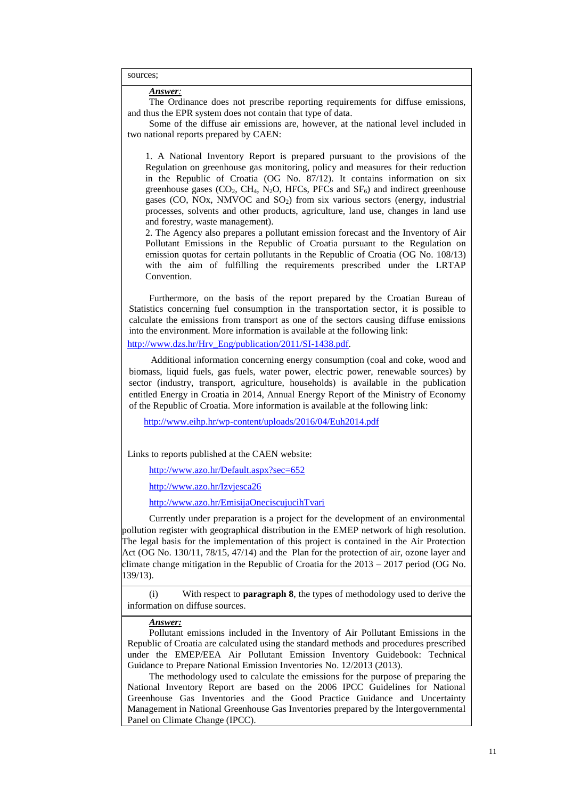sources;

*Answer:*

The Ordinance does not prescribe reporting requirements for diffuse emissions, and thus the EPR system does not contain that type of data.

Some of the diffuse air emissions are, however, at the national level included in two national reports prepared by CAEN:

1. A National Inventory Report is prepared pursuant to the provisions of the Regulation on greenhouse gas monitoring, policy and measures for their reduction in the Republic of Croatia (OG No. 87/12). It contains information on six greenhouse gases  $(CO_2, CH_4, N_2O, HFCs, PFCs$  and  $SF_6$ ) and indirect greenhouse gases (CO, NOx, NMVOC and SO<sub>2</sub>) from six various sectors (energy, industrial processes, solvents and other products, agriculture, land use, changes in land use and forestry, waste management).

2. The Agency also prepares a pollutant emission forecast and the Inventory of Air Pollutant Emissions in the Republic of Croatia pursuant to the Regulation on emission quotas for certain pollutants in the Republic of Croatia (OG No. 108/13) with the aim of fulfilling the requirements prescribed under the LRTAP Convention.

Furthermore, on the basis of the report prepared by the Croatian Bureau of Statistics concerning fuel consumption in the transportation sector, it is possible to calculate the emissions from transport as one of the sectors causing diffuse emissions into the environment. More information is available at the following link: [http://www.dzs.hr/Hrv\\_Eng/publication/2011/SI-1438.pdf.](http://www.dzs.hr/Hrv_Eng/publication/2011/SI-1438.pdf)

Additional information concerning energy consumption (coal and coke, wood and biomass, liquid fuels, gas fuels, water power, electric power, renewable sources) by sector (industry, transport, agriculture, households) is available in the publication entitled Energy in Croatia in 2014, Annual Energy Report of the Ministry of Economy of the Republic of Croatia. More information is available at the following link:

<http://www.eihp.hr/wp-content/uploads/2016/04/Euh2014.pdf>

Links to reports published at the CAEN website:

<http://www.azo.hr/Default.aspx?sec=652>

<http://www.azo.hr/Izvjesca26>

<http://www.azo.hr/EmisijaOneciscujucihTvari>

Currently under preparation is a project for the development of an environmental pollution register with geographical distribution in the EMEP network of high resolution. The legal basis for the implementation of this project is contained in the Air Protection Act (OG No. 130/11, 78/15, 47/14) and the Plan for the protection of air, ozone layer and climate change mitigation in the Republic of Croatia for the 2013 – 2017 period (OG No. 139/13).

(i) With respect to **paragraph 8**, the types of methodology used to derive the information on diffuse sources.

### *Answer:*

Pollutant emissions included in the Inventory of Air Pollutant Emissions in the Republic of Croatia are calculated using the standard methods and procedures prescribed under the EMEP/EEA Air Pollutant Emission Inventory Guidebook: Technical Guidance to Prepare National Emission Inventories No. 12/2013 (2013).

The methodology used to calculate the emissions for the purpose of preparing the National Inventory Report are based on the 2006 IPCC Guidelines for National Greenhouse Gas Inventories and the Good Practice Guidance and Uncertainty Management in National Greenhouse Gas Inventories prepared by the Intergovernmental Panel on Climate Change (IPCC).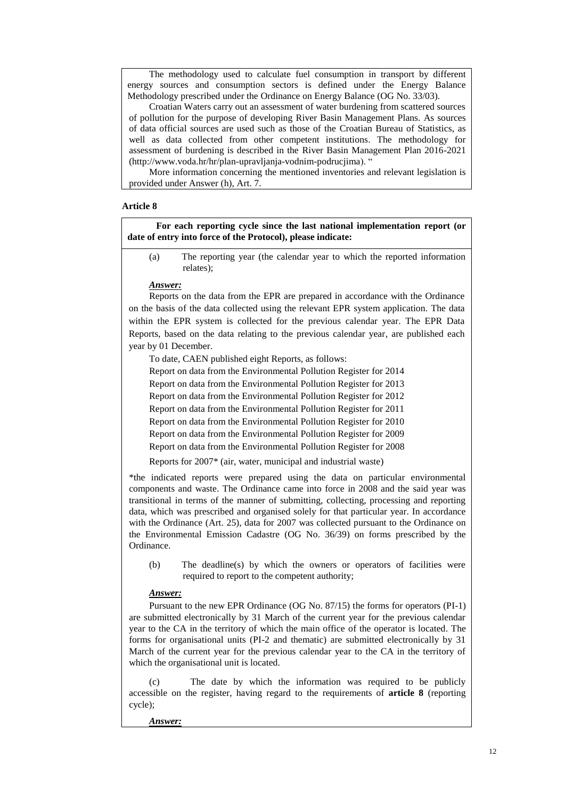The methodology used to calculate fuel consumption in transport by different energy sources and consumption sectors is defined under the Energy Balance Methodology prescribed under the Ordinance on Energy Balance (OG No. 33/03).

Croatian Waters carry out an assessment of water burdening from scattered sources of pollution for the purpose of developing River Basin Management Plans. As sources of data official sources are used such as those of the Croatian Bureau of Statistics, as well as data collected from other competent institutions. The methodology for assessment of burdening is described in the River Basin Management Plan 2016-2021 (http://www.voda.hr/hr/plan-upravljanja-vodnim-podrucjima). "

More information concerning the mentioned inventories and relevant legislation is provided under Answer (h), Art. 7.

## **Article 8**

**For each reporting cycle since the last national implementation report (or date of entry into force of the Protocol), please indicate:**

(a) The reporting year (the calendar year to which the reported information relates);

## *Answer:*

Reports on the data from the EPR are prepared in accordance with the Ordinance on the basis of the data collected using the relevant EPR system application. The data within the EPR system is collected for the previous calendar year. The EPR Data Reports, based on the data relating to the previous calendar year, are published each year by 01 December.

To date, CAEN published eight Reports, as follows: Report on data from the Environmental Pollution Register for 2014 Report on data from the Environmental Pollution Register for 2013 Report on data from the Environmental Pollution Register for 2012 Report on data from the Environmental Pollution Register for 2011 Report on data from the Environmental Pollution Register for 2010 Report on data from the Environmental Pollution Register for 2009

Report on data from the Environmental Pollution Register for 2008

Reports for 2007\* (air, water, municipal and industrial waste)

\*the indicated reports were prepared using the data on particular environmental components and waste. The Ordinance came into force in 2008 and the said year was transitional in terms of the manner of submitting, collecting, processing and reporting data, which was prescribed and organised solely for that particular year. In accordance with the Ordinance (Art. 25), data for 2007 was collected pursuant to the Ordinance on the Environmental Emission Cadastre (OG No. 36/39) on forms prescribed by the Ordinance.

(b) The deadline(s) by which the owners or operators of facilities were required to report to the competent authority;

#### *Answer:*

Pursuant to the new EPR Ordinance (OG No. 87/15) the forms for operators (PI-1) are submitted electronically by 31 March of the current year for the previous calendar year to the CA in the territory of which the main office of the operator is located. The forms for organisational units (PI-2 and thematic) are submitted electronically by 31 March of the current year for the previous calendar year to the CA in the territory of which the organisational unit is located.

(c) The date by which the information was required to be publicly accessible on the register, having regard to the requirements of **article 8** (reporting cycle);

*Answer:*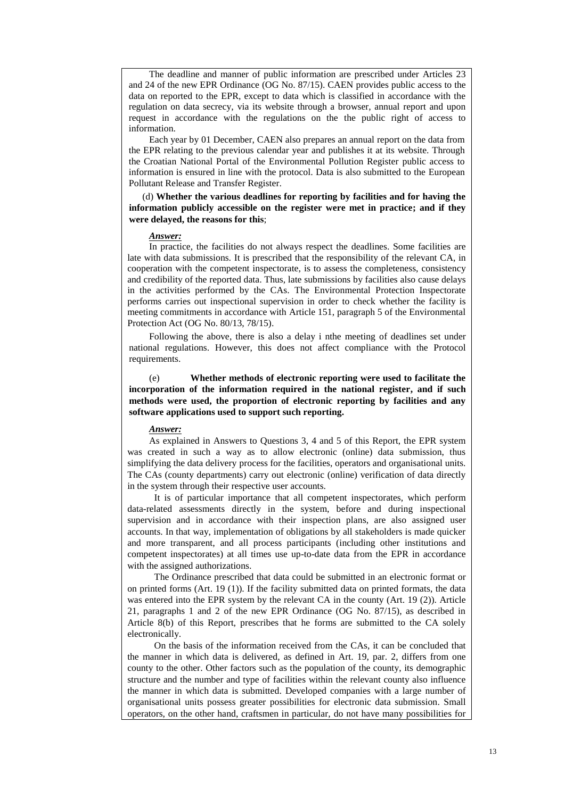The deadline and manner of public information are prescribed under Articles 23 and 24 of the new EPR Ordinance (OG No. 87/15). CAEN provides public access to the data on reported to the EPR, except to data which is classified in accordance with the regulation on data secrecy, via its website through a browser, annual report and upon request in accordance with the regulations on the the public right of access to information.

Each year by 01 December, CAEN also prepares an annual report on the data from the EPR relating to the previous calendar year and publishes it at its website. Through the Croatian National Portal of the Environmental Pollution Register public access to information is ensured in line with the protocol. Data is also submitted to the European Pollutant Release and Transfer Register.

(d) **Whether the various deadlines for reporting by facilities and for having the information publicly accessible on the register were met in practice; and if they were delayed, the reasons for this**;

#### *Answer:*

In practice, the facilities do not always respect the deadlines. Some facilities are late with data submissions. It is prescribed that the responsibility of the relevant CA, in cooperation with the competent inspectorate, is to assess the completeness, consistency and credibility of the reported data. Thus, late submissions by facilities also cause delays in the activities performed by the CAs. The Environmental Protection Inspectorate performs carries out inspectional supervision in order to check whether the facility is meeting commitments in accordance with Article 151, paragraph 5 of the Environmental Protection Act (OG No. 80/13, 78/15).

Following the above, there is also a delay i nthe meeting of deadlines set under national regulations. However, this does not affect compliance with the Protocol requirements.

(e) **Whether methods of electronic reporting were used to facilitate the incorporation of the information required in the national register, and if such methods were used, the proportion of electronic reporting by facilities and any software applications used to support such reporting.**

## *Answer:*

As explained in Answers to Questions 3, 4 and 5 of this Report, the EPR system was created in such a way as to allow electronic (online) data submission, thus simplifying the data delivery process for the facilities, operators and organisational units. The CAs (county departments) carry out electronic (online) verification of data directly in the system through their respective user accounts.

It is of particular importance that all competent inspectorates, which perform data-related assessments directly in the system, before and during inspectional supervision and in accordance with their inspection plans, are also assigned user accounts. In that way, implementation of obligations by all stakeholders is made quicker and more transparent, and all process participants (including other institutions and competent inspectorates) at all times use up-to-date data from the EPR in accordance with the assigned authorizations.

The Ordinance prescribed that data could be submitted in an electronic format or on printed forms (Art. 19 (1)). If the facility submitted data on printed formats, the data was entered into the EPR system by the relevant CA in the county (Art. 19 (2)). Article 21, paragraphs 1 and 2 of the new EPR Ordinance (OG No. 87/15), as described in Article 8(b) of this Report, prescribes that he forms are submitted to the CA solely electronically.

On the basis of the information received from the CAs, it can be concluded that the manner in which data is delivered, as defined in Art. 19, par. 2, differs from one county to the other. Other factors such as the population of the county, its demographic structure and the number and type of facilities within the relevant county also influence the manner in which data is submitted. Developed companies with a large number of organisational units possess greater possibilities for electronic data submission. Small operators, on the other hand, craftsmen in particular, do not have many possibilities for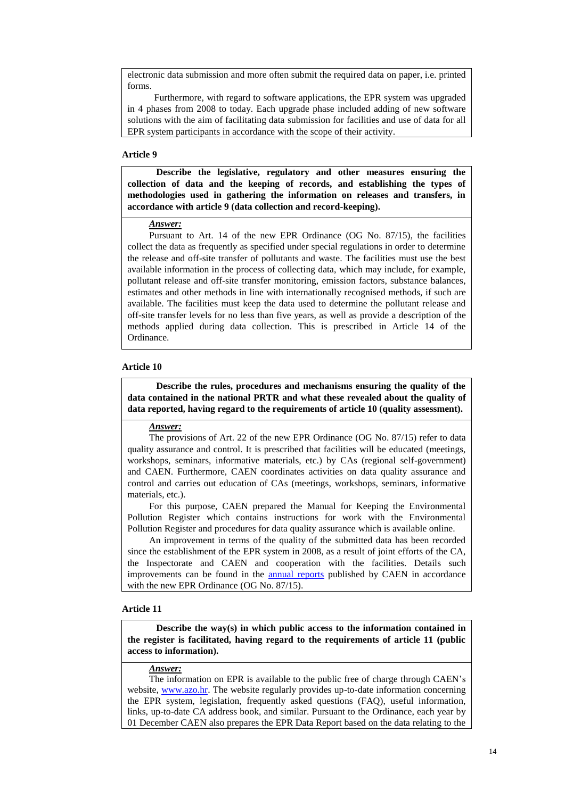electronic data submission and more often submit the required data on paper, i.e. printed forms.

Furthermore, with regard to software applications, the EPR system was upgraded in 4 phases from 2008 to today. Each upgrade phase included adding of new software solutions with the aim of facilitating data submission for facilities and use of data for all EPR system participants in accordance with the scope of their activity.

## **Article 9**

**Describe the legislative, regulatory and other measures ensuring the collection of data and the keeping of records, and establishing the types of methodologies used in gathering the information on releases and transfers, in accordance with article 9 (data collection and record-keeping).** 

## *Answer:*

Pursuant to Art. 14 of the new EPR Ordinance (OG No. 87/15), the facilities collect the data as frequently as specified under special regulations in order to determine the release and off-site transfer of pollutants and waste. The facilities must use the best available information in the process of collecting data, which may include, for example, pollutant release and off-site transfer monitoring, emission factors, substance balances, estimates and other methods in line with internationally recognised methods, if such are available. The facilities must keep the data used to determine the pollutant release and off-site transfer levels for no less than five years, as well as provide a description of the methods applied during data collection. This is prescribed in Article 14 of the Ordinance.

#### **Article 10**

**Describe the rules, procedures and mechanisms ensuring the quality of the data contained in the national PRTR and what these revealed about the quality of data reported, having regard to the requirements of article 10 (quality assessment).**

## *Answer:*

The provisions of Art. 22 of the new EPR Ordinance (OG No. 87/15) refer to data quality assurance and control. It is prescribed that facilities will be educated (meetings, workshops, seminars, informative materials, etc.) by CAs (regional self-government) and CAEN. Furthermore, CAEN coordinates activities on data quality assurance and control and carries out education of CAs (meetings, workshops, seminars, informative materials, etc.).

For this purpose, CAEN prepared the Manual for Keeping the Environmental Pollution Register which contains instructions for work with the Environmental Pollution Register and procedures for data quality assurance which is available online.

An improvement in terms of the quality of the submitted data has been recorded since the establishment of the EPR system in 2008, as a result of joint efforts of the CA, the Inspectorate and CAEN and cooperation with the facilities. Details such improvements can be found in the [annual reports](http://www.azo.hr/IzvjescaROO01) published by CAEN in accordance with the new EPR Ordinance (OG No. 87/15).

#### **Article 11**

**Describe the way(s) in which public access to the information contained in the register is facilitated, having regard to the requirements of article 11 (public access to information).**

## *Answer:*

The information on EPR is available to the public free of charge through CAEN's website, [www.azo.hr.](http://www.azo.hr/) The website regularly provides up-to-date information concerning the EPR system, legislation, frequently asked questions (FAQ), useful information, links, up-to-date CA address book, and similar. Pursuant to the Ordinance, each year by 01 December CAEN also prepares the EPR Data Report based on the data relating to the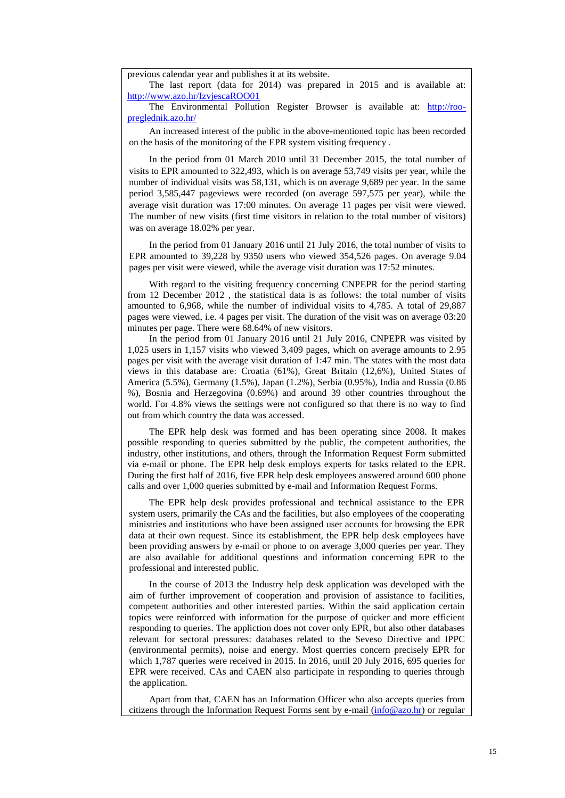previous calendar year and publishes it at its website.

The last report (data for 2014) was prepared in 2015 and is available at: <http://www.azo.hr/IzvjescaROO01>

The Environmental Pollution Register Browser is available at: [http://roo](http://roo-preglednik.azo.hr/)[preglednik.azo.hr/](http://roo-preglednik.azo.hr/)

An increased interest of the public in the above-mentioned topic has been recorded on the basis of the monitoring of the EPR system visiting frequency .

In the period from 01 March 2010 until 31 December 2015, the total number of visits to EPR amounted to 322,493, which is on average 53,749 visits per year, while the number of individual visits was 58,131, which is on average 9,689 per year. In the same period 3,585,447 pageviews were recorded (on average 597,575 per year), while the average visit duration was 17:00 minutes. On average 11 pages per visit were viewed. The number of new visits (first time visitors in relation to the total number of visitors) was on average 18.02% per year.

In the period from 01 January 2016 until 21 July 2016, the total number of visits to EPR amounted to 39,228 by 9350 users who viewed 354,526 pages. On average 9.04 pages per visit were viewed, while the average visit duration was 17:52 minutes.

With regard to the visiting frequency concerning CNPEPR for the period starting from 12 December 2012 , the statistical data is as follows: the total number of visits amounted to 6,968, while the number of individual visits to 4,785. A total of 29,887 pages were viewed, i.e. 4 pages per visit. The duration of the visit was on average 03:20 minutes per page. There were 68.64% of new visitors.

In the period from 01 January 2016 until 21 July 2016, CNPEPR was visited by 1,025 users in 1,157 visits who viewed 3,409 pages, which on average amounts to 2.95 pages per visit with the average visit duration of 1:47 min. The states with the most data views in this database are: Croatia (61%), Great Britain (12,6%), United States of America (5.5%), Germany (1.5%), Japan (1.2%), Serbia (0.95%), India and Russia (0.86 %), Bosnia and Herzegovina (0.69%) and around 39 other countries throughout the world. For 4.8% views the settings were not configured so that there is no way to find out from which country the data was accessed.

The EPR help desk was formed and has been operating since 2008. It makes possible responding to queries submitted by the public, the competent authorities, the industry, other institutions, and others, through the Information Request Form submitted via e-mail or phone. The EPR help desk employs experts for tasks related to the EPR. During the first half of 2016, five EPR help desk employees answered around 600 phone calls and over 1,000 queries submitted by e-mail and Information Request Forms.

The EPR help desk provides professional and technical assistance to the EPR system users, primarily the CAs and the facilities, but also employees of the cooperating ministries and institutions who have been assigned user accounts for browsing the EPR data at their own request. Since its establishment, the EPR help desk employees have been providing answers by e-mail or phone to on average 3,000 queries per year. They are also available for additional questions and information concerning EPR to the professional and interested public.

In the course of 2013 the Industry help desk application was developed with the aim of further improvement of cooperation and provision of assistance to facilities, competent authorities and other interested parties. Within the said application certain topics were reinforced with information for the purpose of quicker and more efficient responding to queries. The appliction does not cover only EPR, but also other databases relevant for sectoral pressures: databases related to the Seveso Directive and IPPC (environmental permits), noise and energy. Most querries concern precisely EPR for which 1,787 queries were received in 2015. In 2016, until 20 July 2016, 695 queries for EPR were received. CAs and CAEN also participate in responding to queries through the application.

Apart from that, CAEN has an Information Officer who also accepts queries from citizens through the Information Request Forms sent by e-mail  $(info@azo.hr)$  or regular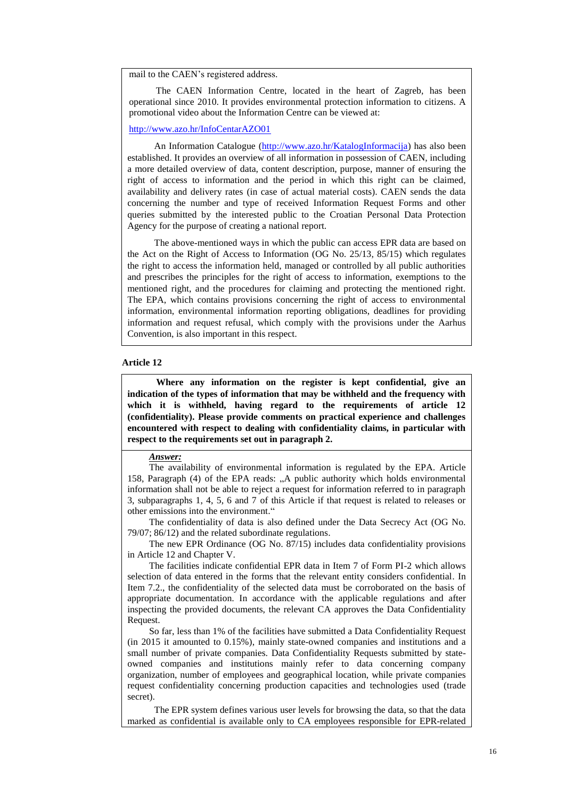mail to the CAEN's registered address.

The CAEN Information Centre, located in the heart of Zagreb, has been operational since 2010. It provides environmental protection information to citizens. A promotional video about the Information Centre can be viewed at:

<http://www.azo.hr/InfoCentarAZO01>

An Information Catalogue [\(http://www.azo.hr/KatalogInformacija\)](http://www.azo.hr/KatalogInformacija) has also been established. It provides an overview of all information in possession of CAEN, including a more detailed overview of data, content description, purpose, manner of ensuring the right of access to information and the period in which this right can be claimed, availability and delivery rates (in case of actual material costs). CAEN sends the data concerning the number and type of received Information Request Forms and other queries submitted by the interested public to the Croatian Personal Data Protection Agency for the purpose of creating a national report.

The above-mentioned ways in which the public can access EPR data are based on the Act on the Right of Access to Information (OG No. 25/13, 85/15) which regulates the right to access the information held, managed or controlled by all public authorities and prescribes the principles for the right of access to information, exemptions to the mentioned right, and the procedures for claiming and protecting the mentioned right. The EPA, which contains provisions concerning the right of access to environmental information, environmental information reporting obligations, deadlines for providing information and request refusal, which comply with the provisions under the Aarhus Convention, is also important in this respect.

### **Article 12**

**Where any information on the register is kept confidential, give an indication of the types of information that may be withheld and the frequency with which it is withheld, having regard to the requirements of article 12 (confidentiality). Please provide comments on practical experience and challenges encountered with respect to dealing with confidentiality claims, in particular with respect to the requirements set out in paragraph 2.**

#### *Answer:*

The availability of environmental information is regulated by the EPA. Article 158, Paragraph (4) of the EPA reads: "A public authority which holds environmental information shall not be able to reject a request for information referred to in paragraph 3, subparagraphs 1, 4, 5, 6 and 7 of this Article if that request is related to releases or other emissions into the environment."

The confidentiality of data is also defined under the Data Secrecy Act (OG No. 79/07; 86/12) and the related subordinate regulations.

The new EPR Ordinance (OG No. 87/15) includes data confidentiality provisions in Article 12 and Chapter V.

The facilities indicate confidential EPR data in Item 7 of Form PI-2 which allows selection of data entered in the forms that the relevant entity considers confidential. In Item 7.2., the confidentiality of the selected data must be corroborated on the basis of appropriate documentation. In accordance with the applicable regulations and after inspecting the provided documents, the relevant CA approves the Data Confidentiality Request.

So far, less than 1% of the facilities have submitted a Data Confidentiality Request (in 2015 it amounted to 0.15%), mainly state-owned companies and institutions and a small number of private companies. Data Confidentiality Requests submitted by stateowned companies and institutions mainly refer to data concerning company organization, number of employees and geographical location, while private companies request confidentiality concerning production capacities and technologies used (trade secret).

The EPR system defines various user levels for browsing the data, so that the data marked as confidential is available only to CA employees responsible for EPR-related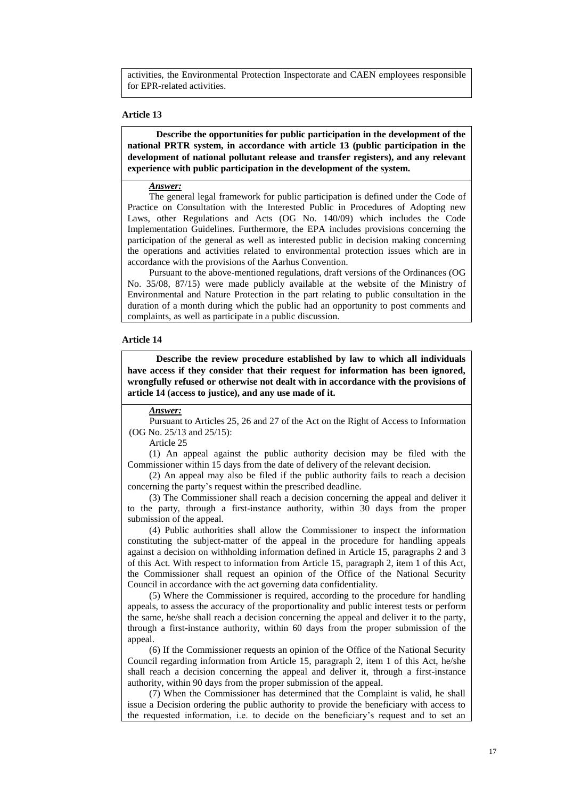activities, the Environmental Protection Inspectorate and CAEN employees responsible for EPR-related activities.

### **Article 13**

**Describe the opportunities for public participation in the development of the national PRTR system, in accordance with article 13 (public participation in the development of national pollutant release and transfer registers), and any relevant experience with public participation in the development of the system.**

*Answer:*

The general legal framework for public participation is defined under the Code of Practice on Consultation with the Interested Public in Procedures of Adopting new Laws, other Regulations and Acts (OG No. 140/09) which includes the Code Implementation Guidelines. Furthermore, the EPA includes provisions concerning the participation of the general as well as interested public in decision making concerning the operations and activities related to environmental protection issues which are in accordance with the provisions of the Aarhus Convention.

Pursuant to the above-mentioned regulations, draft versions of the Ordinances (OG No. 35/08, 87/15) were made publicly available at the website of the Ministry of Environmental and Nature Protection in the part relating to public consultation in the duration of a month during which the public had an opportunity to post comments and complaints, as well as participate in a public discussion.

## **Article 14**

**Describe the review procedure established by law to which all individuals have access if they consider that their request for information has been ignored, wrongfully refused or otherwise not dealt with in accordance with the provisions of article 14 (access to justice), and any use made of it.**

# *Answer:*

Pursuant to Articles 25, 26 and 27 of the Act on the Right of Access to Information (OG No. 25/13 and 25/15):

Article 25

(1) An appeal against the public authority decision may be filed with the Commissioner within 15 days from the date of delivery of the relevant decision.

(2) An appeal may also be filed if the public authority fails to reach a decision concerning the party's request within the prescribed deadline.

(3) The Commissioner shall reach a decision concerning the appeal and deliver it to the party, through a first-instance authority, within 30 days from the proper submission of the appeal.

(4) Public authorities shall allow the Commissioner to inspect the information constituting the subject-matter of the appeal in the procedure for handling appeals against a decision on withholding information defined in Article 15, paragraphs 2 and 3 of this Act. With respect to information from Article 15, paragraph 2, item 1 of this Act, the Commissioner shall request an opinion of the Office of the National Security Council in accordance with the act governing data confidentiality.

(5) Where the Commissioner is required, according to the procedure for handling appeals, to assess the accuracy of the proportionality and public interest tests or perform the same, he/she shall reach a decision concerning the appeal and deliver it to the party, through a first-instance authority, within 60 days from the proper submission of the appeal.

(6) If the Commissioner requests an opinion of the Office of the National Security Council regarding information from Article 15, paragraph 2, item 1 of this Act, he/she shall reach a decision concerning the appeal and deliver it, through a first-instance authority, within 90 days from the proper submission of the appeal.

(7) When the Commissioner has determined that the Complaint is valid, he shall issue a Decision ordering the public authority to provide the beneficiary with access to the requested information, i.e. to decide on the beneficiary's request and to set an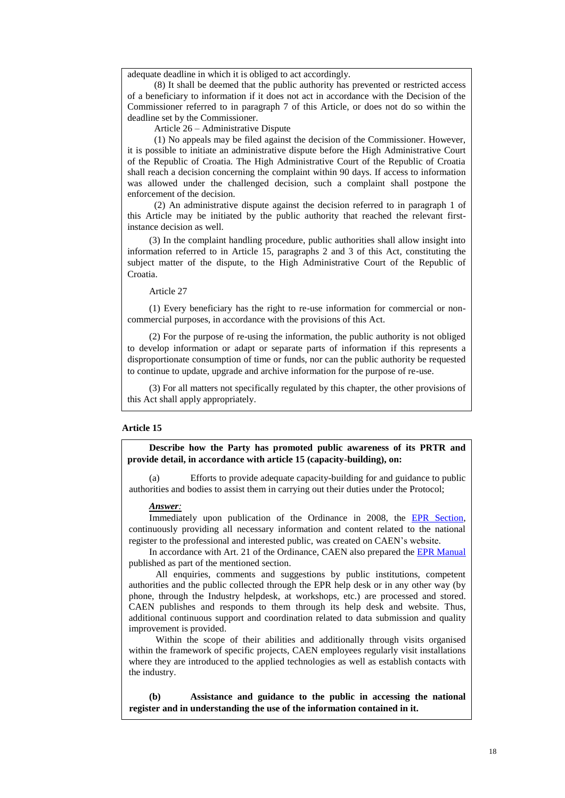adequate deadline in which it is obliged to act accordingly.

(8) It shall be deemed that the public authority has prevented or restricted access of a beneficiary to information if it does not act in accordance with the Decision of the Commissioner referred to in paragraph 7 of this Article, or does not do so within the deadline set by the Commissioner.

Article 26 – Administrative Dispute

(1) No appeals may be filed against the decision of the Commissioner. However, it is possible to initiate an administrative dispute before the High Administrative Court of the Republic of Croatia. The High Administrative Court of the Republic of Croatia shall reach a decision concerning the complaint within 90 days. If access to information was allowed under the challenged decision, such a complaint shall postpone the enforcement of the decision.

(2) An administrative dispute against the decision referred to in paragraph 1 of this Article may be initiated by the public authority that reached the relevant firstinstance decision as well.

(3) In the complaint handling procedure, public authorities shall allow insight into information referred to in Article 15, paragraphs 2 and 3 of this Act, constituting the subject matter of the dispute, to the High Administrative Court of the Republic of Croatia.

Article 27

(1) Every beneficiary has the right to re-use information for commercial or noncommercial purposes, in accordance with the provisions of this Act.

(2) For the purpose of re-using the information, the public authority is not obliged to develop information or adapt or separate parts of information if this represents a disproportionate consumption of time or funds, nor can the public authority be requested to continue to update, upgrade and archive information for the purpose of re-use.

(3) For all matters not specifically regulated by this chapter, the other provisions of this Act shall apply appropriately.

#### **Article 15**

**Describe how the Party has promoted public awareness of its PRTR and provide detail, in accordance with article 15 (capacity-building), on:**

(a) Efforts to provide adequate capacity-building for and guidance to public authorities and bodies to assist them in carrying out their duties under the Protocol;

#### *Answer:*

Immediately upon publication of the Ordinance in 2008, the [EPR Section,](http://www.azo.hr/RegistarOneciscavanjaOkolisaROO01) continuously providing all necessary information and content related to the national register to the professional and interested public, was created on CAEN's website.

In accordance with Art. 21 of the Ordinance, CAEN also prepared the [EPR Manual](http://www.azo.hr/PrirucnikZaVodenje) published as part of the mentioned section.

All enquiries, comments and suggestions by public institutions, competent authorities and the public collected through the EPR help desk or in any other way (by phone, through the Industry helpdesk, at workshops, etc.) are processed and stored. CAEN publishes and responds to them through its help desk and website. Thus, additional continuous support and coordination related to data submission and quality improvement is provided.

Within the scope of their abilities and additionally through visits organised within the framework of specific projects, CAEN employees regularly visit installations where they are introduced to the applied technologies as well as establish contacts with the industry.

**(b) Assistance and guidance to the public in accessing the national register and in understanding the use of the information contained in it.**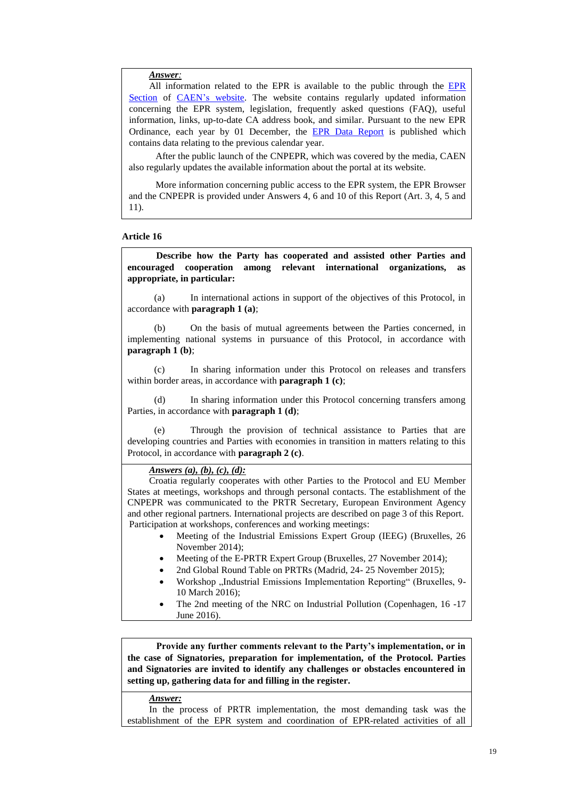*Answer:*

All information related to the [EPR](http://www.azo.hr/RegistarOneciscavanjaOkolisaROO01) is available to the public through the EPR [Section](http://www.azo.hr/RegistarOneciscavanjaOkolisaROO01) of [CAEN's](http://www.azo.hr/) website. The website contains regularly updated information concerning the EPR system, legislation, frequently asked questions (FAQ), useful information, links, up-to-date CA address book, and similar. Pursuant to the new EPR Ordinance, each year by 01 December, the [EPR Data Report](http://www.azo.hr/IzvjescaROO01) is published which contains data relating to the previous calendar year.

After the public launch of the CNPEPR, which was covered by the media, CAEN also regularly updates the available information about the portal at its website.

More information concerning public access to the EPR system, the EPR Browser and the CNPEPR is provided under Answers 4, 6 and 10 of this Report (Art. 3, 4, 5 and 11).

### **Article 16**

**Describe how the Party has cooperated and assisted other Parties and encouraged cooperation among relevant international organizations, as appropriate, in particular:**

(a) In international actions in support of the objectives of this Protocol, in accordance with **paragraph 1 (a)**;

(b) On the basis of mutual agreements between the Parties concerned, in implementing national systems in pursuance of this Protocol, in accordance with **paragraph 1 (b)**;

(c) In sharing information under this Protocol on releases and transfers within border areas, in accordance with **paragraph 1 (c)**;

(d) In sharing information under this Protocol concerning transfers among Parties, in accordance with **paragraph 1 (d)**;

(e) Through the provision of technical assistance to Parties that are developing countries and Parties with economies in transition in matters relating to this Protocol, in accordance with **paragraph 2 (c)**.

### *Answers (a), (b), (c), (d):*

Croatia regularly cooperates with other Parties to the Protocol and EU Member States at meetings, workshops and through personal contacts. The establishment of the CNPEPR was communicated to the PRTR Secretary, European Environment Agency and other regional partners. International projects are described on page 3 of this Report. Participation at workshops, conferences and working meetings:

- Meeting of the Industrial Emissions Expert Group (IEEG) (Bruxelles, 26 November 2014);
- Meeting of the E-PRTR Expert Group (Bruxelles, 27 November 2014);
- 2nd Global Round Table on PRTRs (Madrid, 24- 25 November 2015);
- Workshop "Industrial Emissions Implementation Reporting" (Bruxelles, 9-10 March 2016);
- The 2nd meeting of the NRC on Industrial Pollution (Copenhagen, 16 -17 June 2016).

**Provide any further comments relevant to the Party's implementation, or in the case of Signatories, preparation for implementation, of the Protocol. Parties and Signatories are invited to identify any challenges or obstacles encountered in setting up, gathering data for and filling in the register.**

### *Answer:*

In the process of PRTR implementation, the most demanding task was the establishment of the EPR system and coordination of EPR-related activities of all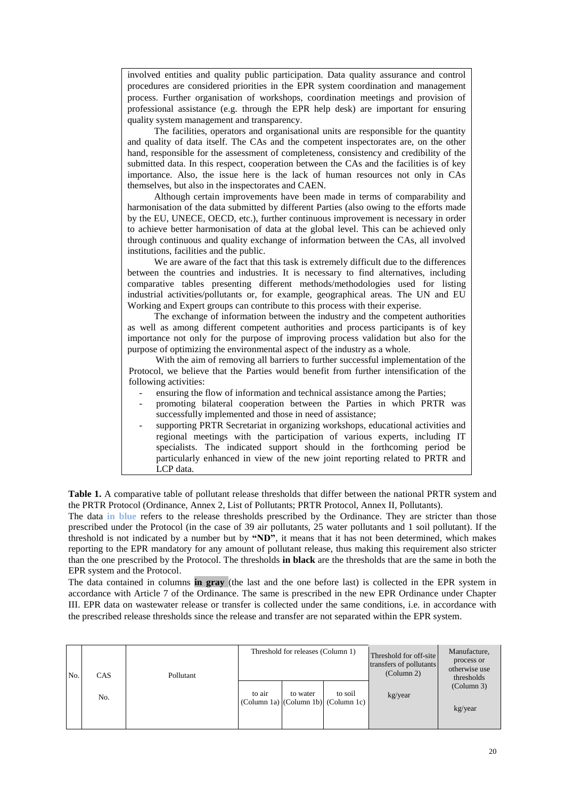involved entities and quality public participation. Data quality assurance and control procedures are considered priorities in the EPR system coordination and management process. Further organisation of workshops, coordination meetings and provision of professional assistance (e.g. through the EPR help desk) are important for ensuring quality system management and transparency.

The facilities, operators and organisational units are responsible for the quantity and quality of data itself. The CAs and the competent inspectorates are, on the other hand, responsible for the assessment of completeness, consistency and credibility of the submitted data. In this respect, cooperation between the CAs and the facilities is of key importance. Also, the issue here is the lack of human resources not only in CAs themselves, but also in the inspectorates and CAEN.

Although certain improvements have been made in terms of comparability and harmonisation of the data submitted by different Parties (also owing to the efforts made by the EU, UNECE, OECD, etc.), further continuous improvement is necessary in order to achieve better harmonisation of data at the global level. This can be achieved only through continuous and quality exchange of information between the CAs, all involved institutions, facilities and the public.

We are aware of the fact that this task is extremely difficult due to the differences between the countries and industries. It is necessary to find alternatives, including comparative tables presenting different methods/methodologies used for listing industrial activities/pollutants or, for example, geographical areas. The UN and EU Working and Expert groups can contribute to this process with their experise.

The exchange of information between the industry and the competent authorities as well as among different competent authorities and process participants is of key importance not only for the purpose of improving process validation but also for the purpose of optimizing the environmental aspect of the industry as a whole.

With the aim of removing all barriers to further successful implementation of the Protocol, we believe that the Parties would benefit from further intensification of the following activities:

- ensuring the flow of information and technical assistance among the Parties;
- promoting bilateral cooperation between the Parties in which PRTR was successfully implemented and those in need of assistance;
- supporting PRTR Secretariat in organizing workshops, educational activities and regional meetings with the participation of various experts, including IT specialists. The indicated support should in the forthcoming period be particularly enhanced in view of the new joint reporting related to PRTR and LCP data.

**Table 1.** A comparative table of pollutant release thresholds that differ between the national PRTR system and the PRTR Protocol (Ordinance, Annex 2, List of Pollutants; PRTR Protocol, Annex II, Pollutants).

The data **in blue** refers to the release thresholds prescribed by the Ordinance. They are stricter than those prescribed under the Protocol (in the case of 39 air pollutants, 25 water pollutants and 1 soil pollutant). If the threshold is not indicated by a number but by **"ND"**, it means that it has not been determined, which makes reporting to the EPR mandatory for any amount of pollutant release, thus making this requirement also stricter than the one prescribed by the Protocol. The thresholds **in black** are the thresholds that are the same in both the EPR system and the Protocol.

The data contained in columns **in gray** (the last and the one before last) is collected in the EPR system in accordance with Article 7 of the Ordinance. The same is prescribed in the new EPR Ordinance under Chapter III. EPR data on wastewater release or transfer is collected under the same conditions, i.e. in accordance with the prescribed release thresholds since the release and transfer are not separated within the EPR system.

| No. | <b>CAS</b> | Pollutant | Threshold for releases (Column 1) |          | Threshold for off-site<br>transfers of pollutants<br>(Column 2)                                   | Manufacture,<br>process or<br>otherwise use<br>thresholds |                       |
|-----|------------|-----------|-----------------------------------|----------|---------------------------------------------------------------------------------------------------|-----------------------------------------------------------|-----------------------|
|     | No.        |           | to air                            | to water | to soil<br>$\text{(Column 1a)} \left[ \text{(Column 1b)} \right] \left( \text{Column 1c} \right)$ | kg/year                                                   | (Column 3)<br>kg/year |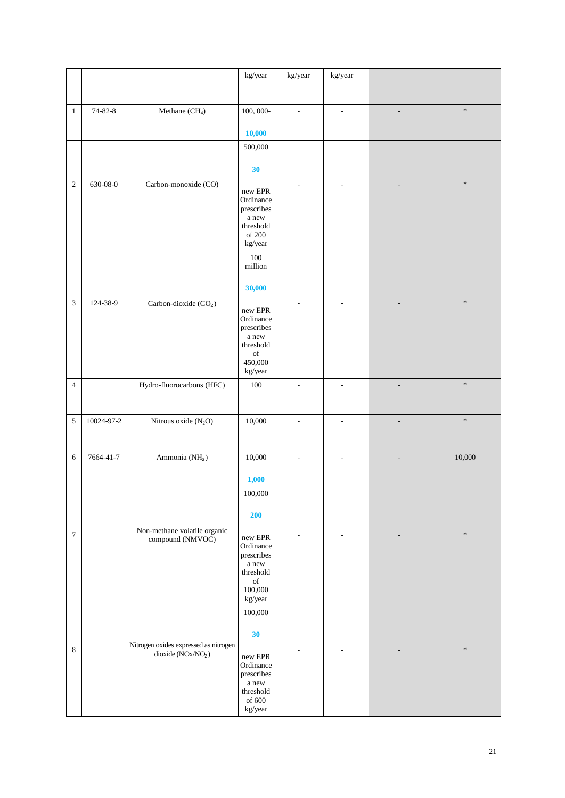|                             |               |                                                                          | kg/year                                                                                            | kg/year                  | kg/year |                          |        |
|-----------------------------|---------------|--------------------------------------------------------------------------|----------------------------------------------------------------------------------------------------|--------------------------|---------|--------------------------|--------|
|                             |               |                                                                          |                                                                                                    |                          |         |                          |        |
| $\mathbf{1}$                | $74 - 82 - 8$ | Methane (CH <sub>4</sub> )                                               | 100, 000-                                                                                          | $\overline{\phantom{a}}$ | ÷,      |                          | $\ast$ |
|                             |               |                                                                          | 10,000                                                                                             |                          |         |                          |        |
|                             |               |                                                                          | 500,000                                                                                            |                          |         |                          |        |
|                             |               |                                                                          | 30                                                                                                 |                          |         |                          |        |
| $\sqrt{2}$                  | 630-08-0      | Carbon-monoxide (CO)                                                     | new EPR<br>Ordinance<br>prescribes<br>a new<br>threshold<br>of 200<br>kg/year                      |                          |         |                          | $\ast$ |
|                             |               |                                                                          | 100                                                                                                |                          |         |                          |        |
|                             |               |                                                                          | million<br>30,000                                                                                  |                          |         |                          |        |
| $\boldsymbol{\mathfrak{Z}}$ | 124-38-9      | Carbon-dioxide (CO <sub>2</sub> )                                        | new EPR<br>Ordinance<br>prescribes<br>a new<br>threshold<br>$_{\mathrm{of}}$<br>450,000<br>kg/year |                          |         |                          | $\ast$ |
| $\overline{4}$              |               | Hydro-fluorocarbons (HFC)                                                | 100                                                                                                |                          | ÷,      |                          | $\ast$ |
|                             |               |                                                                          |                                                                                                    |                          |         |                          |        |
| $\sqrt{5}$                  | 10024-97-2    | Nitrous oxide $(N_2O)$                                                   | 10,000                                                                                             | ÷,                       | ÷,      | Ē,                       | $\ast$ |
| 6                           | 7664-41-7     | Ammonia (NH <sub>3</sub> )                                               | 10,000                                                                                             | $\overline{\phantom{a}}$ | ÷,      | $\overline{\phantom{m}}$ | 10,000 |
|                             |               |                                                                          | 1,000                                                                                              |                          |         |                          |        |
|                             |               |                                                                          | 100,000                                                                                            |                          |         |                          |        |
| $\boldsymbol{7}$            |               | Non-methane volatile organic                                             | 200                                                                                                |                          |         |                          | $\ast$ |
|                             |               | compound (NMVOC)                                                         | $\,$ new EPR<br>Ordinance<br>prescribes<br>a new<br>threshold<br>of<br>100,000<br>kg/year          |                          |         |                          |        |
|                             |               |                                                                          | 100,000                                                                                            |                          |         |                          |        |
| $\,8\,$                     |               | Nitrogen oxides expressed as nitrogen<br>dioxide $(\overline{N}Ox/NO_2)$ | 30<br>new EPR<br>Ordinance<br>prescribes<br>a new<br>threshold                                     |                          |         |                          | $\ast$ |
|                             |               |                                                                          | of $600\,$<br>kg/year                                                                              |                          |         |                          |        |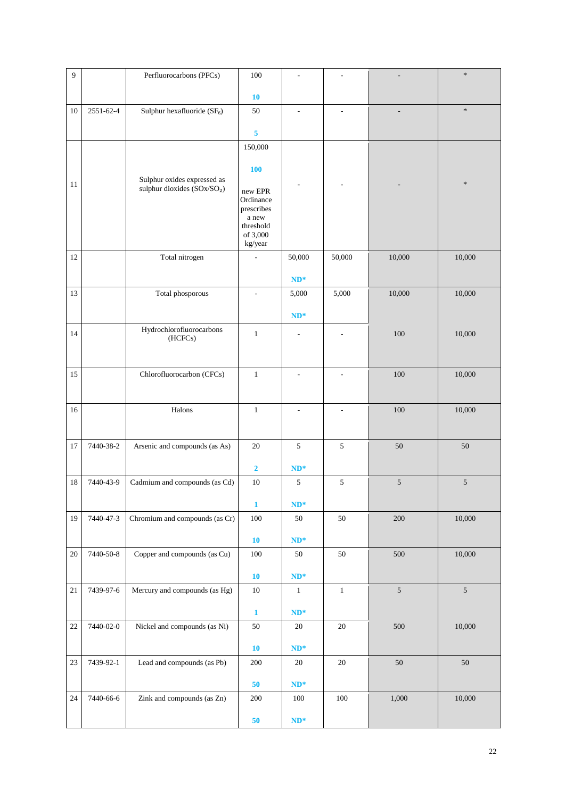| 9      |           | Perfluorocarbons (PFCs)                                                | 100                                                                             |                          |                          |            | $\ast$         |
|--------|-----------|------------------------------------------------------------------------|---------------------------------------------------------------------------------|--------------------------|--------------------------|------------|----------------|
|        |           |                                                                        | <b>10</b>                                                                       |                          |                          |            |                |
| 10     | 2551-62-4 | Sulphur hexafluoride $(SF_6)$                                          | 50                                                                              | $\overline{\phantom{a}}$ | $\overline{\phantom{a}}$ |            | $\ast$         |
|        |           |                                                                        | $\overline{\mathbf{5}}$                                                         |                          |                          |            |                |
|        |           |                                                                        | 150,000                                                                         |                          |                          |            |                |
|        |           |                                                                        | <b>100</b>                                                                      |                          |                          |            |                |
| 11     |           | Sulphur oxides expressed as<br>sulphur dioxides (SOx/SO <sub>2</sub> ) | new EPR<br>Ordinance<br>prescribes<br>a new<br>threshold<br>of 3,000<br>kg/year |                          |                          |            | $\ast$         |
| 12     |           | Total nitrogen                                                         | $\overline{\phantom{a}}$                                                        | 50,000                   | 50,000                   | 10,000     | 10,000         |
|        |           |                                                                        |                                                                                 | $ND^*$                   |                          |            |                |
| 13     |           | Total phosporous                                                       | $\overline{a}$                                                                  | 5,000                    | 5,000                    | 10,000     | 10,000         |
|        |           |                                                                        |                                                                                 | $ND^*$                   |                          |            |                |
| 14     |           | Hydrochlorofluorocarbons<br>(HCFCs)                                    | $\mathbf{1}$                                                                    |                          |                          | 100        | 10,000         |
| 15     |           | Chlorofluorocarbon (CFCs)                                              | $\mathbf{1}$                                                                    |                          |                          | $100\,$    | 10,000         |
|        |           |                                                                        |                                                                                 |                          |                          |            |                |
| 16     |           | Halons                                                                 | $\mathbf{1}$                                                                    | $\overline{a}$           | $\overline{\phantom{a}}$ | 100        | 10,000         |
| 17     | 7440-38-2 | Arsenic and compounds (as As)                                          | 20                                                                              | 5                        | 5                        | 50         | 50             |
|        |           |                                                                        | $\overline{\mathbf{2}}$                                                         | $ND^*$                   |                          |            |                |
| 18     | 7440-43-9 | Cadmium and compounds (as Cd)                                          | 10                                                                              | 5                        | 5                        | $\sqrt{5}$ | 5              |
|        |           |                                                                        | $\mathbf{1}$                                                                    | $ND^*$                   |                          |            |                |
| 19     | 7440-47-3 | Chromium and compounds (as Cr)                                         | 100                                                                             | 50                       | 50                       | 200        | 10,000         |
|        |           |                                                                        | ${\bf 10}$                                                                      | $ND^*$                   |                          |            |                |
| $20\,$ | 7440-50-8 | Copper and compounds (as Cu)                                           | $100\,$                                                                         | $50\,$                   | 50                       | 500        | 10,000         |
|        |           |                                                                        | 10                                                                              | $ND^*$                   |                          |            |                |
| $21\,$ | 7439-97-6 | Mercury and compounds (as Hg)                                          | $10\,$                                                                          | $\,1\,$                  | $\,1\,$                  | $\sqrt{5}$ | $\mathfrak{S}$ |
|        |           |                                                                        | $\mathbf 1$                                                                     | $ND^*$                   |                          |            |                |
| $22\,$ | 7440-02-0 | Nickel and compounds (as Ni)                                           | $50\,$                                                                          | 20                       | 20                       | 500        | 10,000         |
|        |           |                                                                        | 10                                                                              | $ND^*$                   |                          |            |                |
| $23\,$ | 7439-92-1 | Lead and compounds (as Pb)                                             | $200\,$                                                                         | $20\,$                   | $20\,$                   | 50         | $50\,$         |
|        |           |                                                                        | 50                                                                              | $ND^*$                   |                          |            |                |
| 24     | 7440-66-6 | Zink and compounds (as Zn)                                             | $200\,$                                                                         | $100\,$                  | $100\,$                  | 1,000      | 10,000         |
|        |           |                                                                        | 50                                                                              | $\mathbf{ND}^*$          |                          |            |                |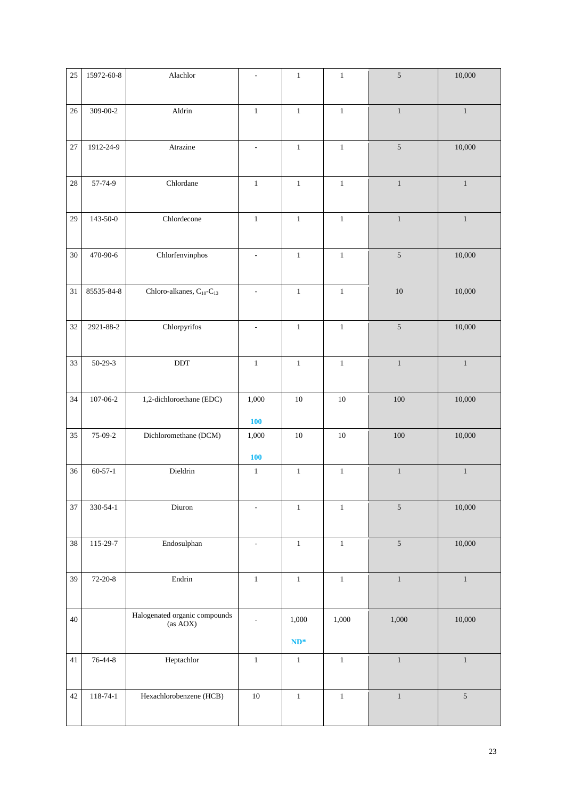| 25     | 15972-60-8     | Alachlor                                         | $\overline{\phantom{a}}$ | $\mathbf{1}$    | $\mathbf{1}$ | $\sqrt{5}$   | 10,000       |
|--------|----------------|--------------------------------------------------|--------------------------|-----------------|--------------|--------------|--------------|
| 26     | 309-00-2       | Aldrin                                           | $1\,$                    | $1\,$           | $1\,$        | $\mathbf{1}$ | $\mathbf{1}$ |
| 27     | 1912-24-9      | Atrazine                                         | $\overline{\phantom{a}}$ | $\,1\,$         | $\mathbf{1}$ | $\sqrt{5}$   | 10,000       |
| $28\,$ | 57-74-9        | Chlordane                                        | $\mathbf{1}$             | $\,1\,$         | $\mathbf{1}$ | $\mathbf{1}$ | $\mathbf{1}$ |
| 29     | $143 - 50 - 0$ | Chlordecone                                      | $\mathbf{1}$             | $1\,$           | $\mathbf{1}$ | $\mathbf{1}$ | $\mathbf{1}$ |
| 30     | 470-90-6       | Chlorfenvinphos                                  | $\overline{\phantom{a}}$ | $\,1\,$         | $\mathbf{1}$ | $\sqrt{5}$   | 10,000       |
| $31\,$ | 85535-84-8     | Chloro-alkanes, C <sub>10</sub> -C <sub>13</sub> | $\overline{\phantom{a}}$ | $\,1\,$         | $\,1\,$      | $10\,$       | 10,000       |
| 32     | 2921-88-2      | Chlorpyrifos                                     | $\overline{\phantom{a}}$ | $\,1\,$         | $\,1\,$      | $\sqrt{5}$   | 10,000       |
| 33     | $50-29-3$      | $\operatorname{DDT}$                             | $\mathbf{1}$             | $\mathbf{1}$    | $\mathbf{1}$ | $\,1\,$      | $\mathbf{1}$ |
| 34     | $107 - 06 - 2$ | 1,2-dichloroethane (EDC)                         | 1,000<br><b>100</b>      | $10\,$          | $10\,$       | $100\,$      | 10,000       |
| 35     | 75-09-2        | Dichloromethane (DCM)                            | 1,000<br><b>100</b>      | $10\,$          | $10\,$       | 100          | 10,000       |
| 36     | $60 - 57 - 1$  | Dieldrin                                         | $1\,$                    | $1\,$           | $\,1\,$      | $\,1\,$      | $\mathbf{1}$ |
| 37     | 330-54-1       | Diuron                                           | $\overline{\phantom{a}}$ | $\,1\,$         | $\,1\,$      | $\sqrt{5}$   | 10,000       |
| 38     | 115-29-7       | Endosulphan                                      | $\overline{\phantom{a}}$ | $\,1\,$         | $\,1\,$      | $\sqrt{5}$   | 10,000       |
| 39     | $72-20-8$      | Endrin                                           | $\,1$                    | $\,1\,$         | $\,1\,$      | $\mathbf{1}$ | $\mathbf{1}$ |
| $40\,$ |                | Halogenated organic compounds<br>(as AOX)        | $\overline{\phantom{a}}$ | 1,000<br>$ND^*$ | 1,000        | 1,000        | 10,000       |
| 41     | 76-44-8        | Heptachlor                                       | $\,1\,$                  | $\,1\,$         | $\,1\,$      | $\,1\,$      | $\,1\,$      |
| 42     | $118 - 74 - 1$ | Hexachlorobenzene (HCB)                          | $10\,$                   | $\,1\,$         | $\,1\,$      | $\,1\,$      | $5\,$        |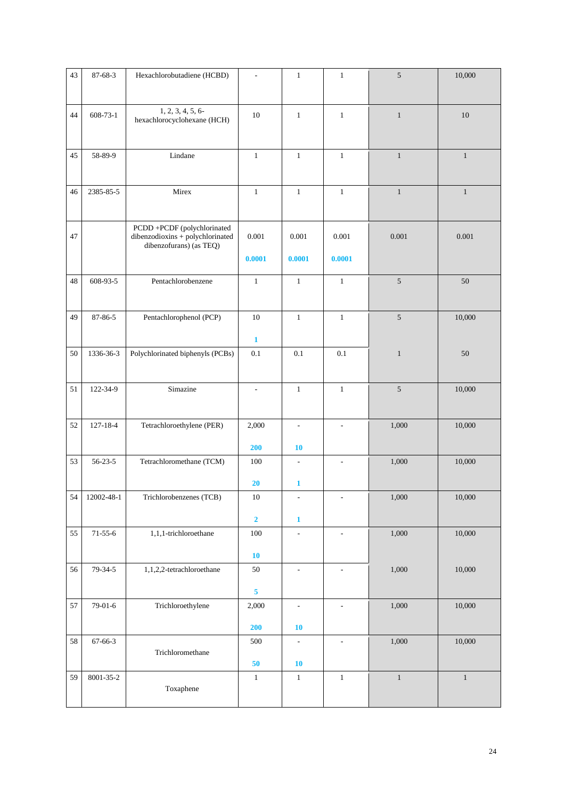| 43 | 87-68-3        | Hexachlorobutadiene (HCBD)                                                                 | $\overline{\phantom{a}}$ | $\mathbf{1}$             | $\mathbf{1}$             | 5            | 10,000       |
|----|----------------|--------------------------------------------------------------------------------------------|--------------------------|--------------------------|--------------------------|--------------|--------------|
| 44 | $608 - 73 - 1$ | 1, 2, 3, 4, 5, 6<br>hexachlorocyclohexane (HCH)                                            | 10                       | $\mathbf{1}$             | $\mathbf{1}$             | $\,1\,$      | $10\,$       |
| 45 | 58-89-9        | Lindane                                                                                    | $\mathbf{1}$             | $\,1\,$                  | $\mathbf{1}$             | $\mathbf{1}$ | $\mathbf{1}$ |
| 46 | 2385-85-5      | Mirex                                                                                      | $\mathbf{1}$             | $\mathbf{1}$             | $\mathbf{1}$             | $\mathbf{1}$ | $\mathbf{1}$ |
| 47 |                | PCDD +PCDF (polychlorinated<br>dibenzodioxins + polychlorinated<br>dibenzofurans) (as TEQ) | 0.001                    | 0.001                    | 0.001                    | 0.001        | 0.001        |
|    |                |                                                                                            | 0.0001                   | 0.0001                   | 0.0001                   |              |              |
| 48 | 608-93-5       | Pentachlorobenzene                                                                         | $\,1\,$                  | $\,1\,$                  | $\,1\,$                  | $\sqrt{5}$   | $50\,$       |
| 49 | 87-86-5        | Pentachlorophenol (PCP)                                                                    | 10                       | $1\,$                    | $1\,$                    | 5            | 10,000       |
|    |                |                                                                                            | $\mathbf{1}$             |                          |                          |              |              |
| 50 | 1336-36-3      | Polychlorinated biphenyls (PCBs)                                                           | 0.1                      | 0.1                      | 0.1                      | $\mathbf{1}$ | 50           |
| 51 | 122-34-9       | Simazine                                                                                   | $\overline{\phantom{a}}$ | $\,1\,$                  | $\mathbf{1}$             | 5            | 10,000       |
| 52 | 127-18-4       | Tetrachloroethylene (PER)                                                                  | 2,000                    | $\overline{\phantom{a}}$ | ÷.                       | 1,000        | 10,000       |
|    |                |                                                                                            | 200                      | 10                       |                          |              |              |
| 53 | $56 - 23 - 5$  | Tetrachloromethane (TCM)                                                                   | 100<br>20                | $\overline{\phantom{a}}$ | $\overline{\phantom{a}}$ | 1,000        | 10,000       |
| 54 | 12002-48-1     | Trichlorobenzenes (TCB)                                                                    | $10\,$                   | 1                        |                          | 1,000        | 10,000       |
|    |                |                                                                                            | $\overline{\mathbf{2}}$  | $\mathbf{1}$             |                          |              |              |
| 55 | $71 - 55 - 6$  | 1,1,1-trichloroethane                                                                      | $100\,$                  |                          | ÷,                       | 1,000        | 10,000       |
|    |                |                                                                                            | ${\bf 10}$               |                          |                          |              |              |
| 56 | $79 - 34 - 5$  | 1,1,2,2-tetrachloroethane                                                                  | $50\,$                   | $\overline{\phantom{a}}$ | $\blacksquare$           | 1,000        | 10,000       |
|    |                |                                                                                            | 5                        |                          |                          |              |              |
| 57 | $79-01-6$      | Trichloroethylene                                                                          | 2,000                    | $\overline{\phantom{a}}$ | ÷,                       | 1,000        | 10,000       |
|    |                |                                                                                            | 200                      | <b>10</b>                |                          |              |              |
| 58 | 67-66-3        | Trichloromethane                                                                           | 500                      | ۰                        | $\overline{a}$           | 1,000        | 10,000       |
|    |                |                                                                                            | ${\bf 50}$               | ${\bf 10}$               |                          |              |              |
| 59 | 8001-35-2      | Toxaphene                                                                                  | $\mathbf{1}$             | $\mathbf{1}$             | $\mathbf{1}$             | $\mathbf{1}$ | $\mathbf{1}$ |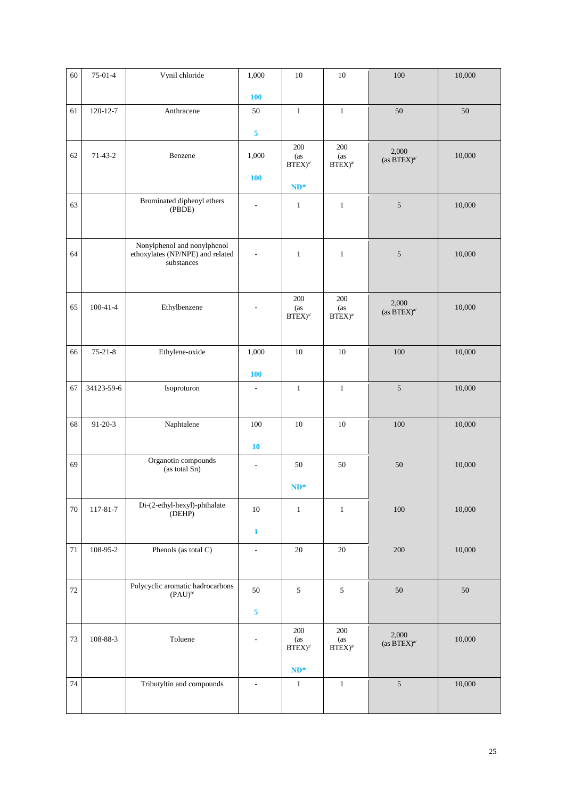| 60     | $75-01-4$      | Vynil chloride                                                  | 1,000                        | $10\,$                                | $10\,$                                                                    | $100\,$                                                         | 10,000 |
|--------|----------------|-----------------------------------------------------------------|------------------------------|---------------------------------------|---------------------------------------------------------------------------|-----------------------------------------------------------------|--------|
|        |                |                                                                 | <b>100</b>                   |                                       |                                                                           |                                                                 |        |
| 61     | $120 - 12 - 7$ | Anthracene                                                      | 50                           | $\,1\,$                               | $\mathbf{1}$                                                              | 50                                                              | 50     |
|        |                |                                                                 | 5                            |                                       |                                                                           |                                                                 |        |
|        |                |                                                                 |                              | $200\,$                               | 200                                                                       | 2,000                                                           |        |
| 62     | $71-43-2$      | Benzene                                                         | 1,000                        | (as<br>$\text{BTEX})^{a'}$            | (as<br>$BTEX)^{a'}$                                                       | (as $BTEX)^{a'}$                                                | 10,000 |
|        |                |                                                                 | <b>100</b>                   | $ND^*$                                |                                                                           |                                                                 |        |
| 63     |                | Brominated diphenyl ethers                                      | $\overline{a}$               | $\mathbf{1}$                          | $\mathbf{1}$                                                              | $\sqrt{5}$                                                      | 10,000 |
|        |                | (PBDE)                                                          |                              |                                       |                                                                           |                                                                 |        |
|        |                |                                                                 |                              |                                       |                                                                           |                                                                 |        |
| 64     |                | Nonylphenol and nonylphenol<br>ethoxylates (NP/NPE) and related | L,                           | $\mathbf{1}$                          | $\mathbf{1}$                                                              | $\sqrt{5}$                                                      | 10,000 |
|        |                | substances                                                      |                              |                                       |                                                                           |                                                                 |        |
|        |                |                                                                 |                              |                                       |                                                                           |                                                                 |        |
| 65     | $100 - 41 - 4$ | Ethylbenzene                                                    |                              | $200\,$<br>(as<br>$\text{BTEX})^{a'}$ | 200<br>(as<br>$\ensuremath{\mathrm{BTEX}}\xspace^\ensuremath{\mathrm{a}}$ | 2,000<br>(as $\operatorname{BTEX})^{\operatorname{a}\! \prime}$ | 10,000 |
|        |                |                                                                 |                              |                                       |                                                                           |                                                                 |        |
|        | $75 - 21 - 8$  |                                                                 |                              | $10\,$                                | $10\,$                                                                    |                                                                 |        |
| 66     |                | Ethylene-oxide                                                  | 1,000                        |                                       |                                                                           | $100\,$                                                         | 10,000 |
|        |                |                                                                 | <b>100</b>                   |                                       |                                                                           |                                                                 |        |
| 67     | 34123-59-6     | Isoproturon                                                     | $\qquad \qquad \blacksquare$ | $\mathbf{1}$                          | $\mathbf{1}$                                                              | $\sqrt{5}$                                                      | 10,000 |
|        |                |                                                                 |                              |                                       |                                                                           |                                                                 |        |
| 68     | $91 - 20 - 3$  | Naphtalene                                                      | 100                          | $10\,$                                | $10\,$                                                                    | 100                                                             | 10,000 |
|        |                |                                                                 | <b>10</b>                    |                                       |                                                                           |                                                                 |        |
| 69     |                | Organotin compounds<br>(as total Sn)                            | $\overline{\phantom{a}}$     | 50                                    | 50                                                                        | $50\,$                                                          | 10,000 |
|        |                |                                                                 |                              | $ND^*$                                |                                                                           |                                                                 |        |
| $70\,$ | 117-81-7       | Di-(2-ethyl-hexyl)-phthalate<br>(DEHP)                          | $10\,$                       | $\,1\,$                               | $\mathbf{1}$                                                              | 100                                                             | 10,000 |
|        |                |                                                                 | $\mathbf{1}$                 |                                       |                                                                           |                                                                 |        |
| $71\,$ | 108-95-2       | Phenols (as total C)                                            | ÷.                           | $20\,$                                | 20                                                                        | 200                                                             | 10,000 |
|        |                |                                                                 |                              |                                       |                                                                           |                                                                 |        |
|        |                | Polycyclic aromatic hadrocarbons                                |                              |                                       |                                                                           |                                                                 |        |
| 72     |                | $(PAU)^{b/}$                                                    | 50                           | $\mathfrak{S}$                        | $\sqrt{5}$                                                                | $50\,$                                                          | 50     |
|        |                |                                                                 | 5                            |                                       |                                                                           |                                                                 |        |
| 73     | 108-88-3       | Toluene                                                         |                              | $200\,$<br>(as                        | 200<br>(as                                                                | 2,000                                                           | 10,000 |
|        |                |                                                                 |                              | $\text{BTEX})^{a'}$                   | $BTEX)^{a'}$                                                              | (as $BTEX)^{a'}$                                                |        |
|        |                |                                                                 |                              | $ND^*$                                |                                                                           |                                                                 |        |
| 74     |                | Tributyltin and compounds                                       | $\blacksquare$               | $\mathbf{1}$                          | $\mathbf{1}$                                                              | $\sqrt{5}$                                                      | 10,000 |
|        |                |                                                                 |                              |                                       |                                                                           |                                                                 |        |